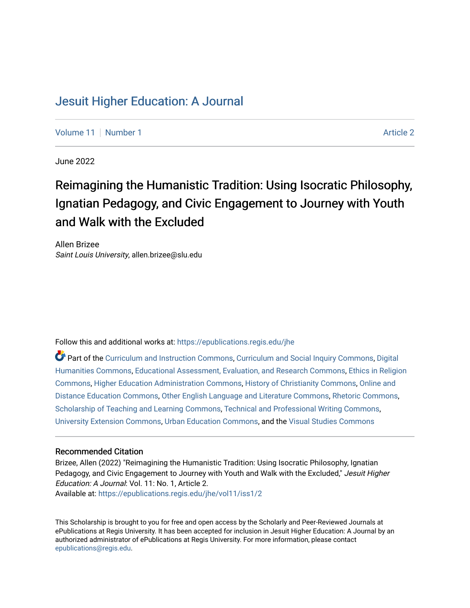# [Jesuit Higher Education: A Journal](https://epublications.regis.edu/jhe)

[Volume 11](https://epublications.regis.edu/jhe/vol11) | [Number 1](https://epublications.regis.edu/jhe/vol11/iss1) [Article 2](https://epublications.regis.edu/jhe/vol11/iss1/2) Article 2 Article 2 Article 2 Article 2 Article 2 Article 2 Article 2 Article 2

June 2022

# Reimagining the Humanistic Tradition: Using Isocratic Philosophy, Ignatian Pedagogy, and Civic Engagement to Journey with Youth and Walk with the Excluded

Allen Brizee Saint Louis University, allen.brizee@slu.edu

Follow this and additional works at: [https://epublications.regis.edu/jhe](https://epublications.regis.edu/jhe?utm_source=epublications.regis.edu%2Fjhe%2Fvol11%2Fiss1%2F2&utm_medium=PDF&utm_campaign=PDFCoverPages) 

Part of the [Curriculum and Instruction Commons,](https://network.bepress.com/hgg/discipline/786?utm_source=epublications.regis.edu%2Fjhe%2Fvol11%2Fiss1%2F2&utm_medium=PDF&utm_campaign=PDFCoverPages) [Curriculum and Social Inquiry Commons,](https://network.bepress.com/hgg/discipline/1038?utm_source=epublications.regis.edu%2Fjhe%2Fvol11%2Fiss1%2F2&utm_medium=PDF&utm_campaign=PDFCoverPages) [Digital](https://network.bepress.com/hgg/discipline/1286?utm_source=epublications.regis.edu%2Fjhe%2Fvol11%2Fiss1%2F2&utm_medium=PDF&utm_campaign=PDFCoverPages) [Humanities Commons,](https://network.bepress.com/hgg/discipline/1286?utm_source=epublications.regis.edu%2Fjhe%2Fvol11%2Fiss1%2F2&utm_medium=PDF&utm_campaign=PDFCoverPages) [Educational Assessment, Evaluation, and Research Commons,](https://network.bepress.com/hgg/discipline/796?utm_source=epublications.regis.edu%2Fjhe%2Fvol11%2Fiss1%2F2&utm_medium=PDF&utm_campaign=PDFCoverPages) [Ethics in Religion](https://network.bepress.com/hgg/discipline/541?utm_source=epublications.regis.edu%2Fjhe%2Fvol11%2Fiss1%2F2&utm_medium=PDF&utm_campaign=PDFCoverPages)  [Commons](https://network.bepress.com/hgg/discipline/541?utm_source=epublications.regis.edu%2Fjhe%2Fvol11%2Fiss1%2F2&utm_medium=PDF&utm_campaign=PDFCoverPages), [Higher Education Administration Commons](https://network.bepress.com/hgg/discipline/791?utm_source=epublications.regis.edu%2Fjhe%2Fvol11%2Fiss1%2F2&utm_medium=PDF&utm_campaign=PDFCoverPages), [History of Christianity Commons](https://network.bepress.com/hgg/discipline/1182?utm_source=epublications.regis.edu%2Fjhe%2Fvol11%2Fiss1%2F2&utm_medium=PDF&utm_campaign=PDFCoverPages), [Online and](https://network.bepress.com/hgg/discipline/1296?utm_source=epublications.regis.edu%2Fjhe%2Fvol11%2Fiss1%2F2&utm_medium=PDF&utm_campaign=PDFCoverPages)  [Distance Education Commons](https://network.bepress.com/hgg/discipline/1296?utm_source=epublications.regis.edu%2Fjhe%2Fvol11%2Fiss1%2F2&utm_medium=PDF&utm_campaign=PDFCoverPages), [Other English Language and Literature Commons,](https://network.bepress.com/hgg/discipline/462?utm_source=epublications.regis.edu%2Fjhe%2Fvol11%2Fiss1%2F2&utm_medium=PDF&utm_campaign=PDFCoverPages) [Rhetoric Commons,](https://network.bepress.com/hgg/discipline/575?utm_source=epublications.regis.edu%2Fjhe%2Fvol11%2Fiss1%2F2&utm_medium=PDF&utm_campaign=PDFCoverPages) [Scholarship of Teaching and Learning Commons,](https://network.bepress.com/hgg/discipline/1328?utm_source=epublications.regis.edu%2Fjhe%2Fvol11%2Fiss1%2F2&utm_medium=PDF&utm_campaign=PDFCoverPages) [Technical and Professional Writing Commons](https://network.bepress.com/hgg/discipline/1347?utm_source=epublications.regis.edu%2Fjhe%2Fvol11%2Fiss1%2F2&utm_medium=PDF&utm_campaign=PDFCoverPages), [University Extension Commons](https://network.bepress.com/hgg/discipline/1361?utm_source=epublications.regis.edu%2Fjhe%2Fvol11%2Fiss1%2F2&utm_medium=PDF&utm_campaign=PDFCoverPages), [Urban Education Commons](https://network.bepress.com/hgg/discipline/793?utm_source=epublications.regis.edu%2Fjhe%2Fvol11%2Fiss1%2F2&utm_medium=PDF&utm_campaign=PDFCoverPages), and the [Visual Studies Commons](https://network.bepress.com/hgg/discipline/564?utm_source=epublications.regis.edu%2Fjhe%2Fvol11%2Fiss1%2F2&utm_medium=PDF&utm_campaign=PDFCoverPages) 

#### Recommended Citation

Brizee, Allen (2022) "Reimagining the Humanistic Tradition: Using Isocratic Philosophy, Ignatian Pedagogy, and Civic Engagement to Journey with Youth and Walk with the Excluded," Jesuit Higher Education: A Journal: Vol. 11: No. 1, Article 2. Available at: [https://epublications.regis.edu/jhe/vol11/iss1/2](https://epublications.regis.edu/jhe/vol11/iss1/2?utm_source=epublications.regis.edu%2Fjhe%2Fvol11%2Fiss1%2F2&utm_medium=PDF&utm_campaign=PDFCoverPages)

This Scholarship is brought to you for free and open access by the Scholarly and Peer-Reviewed Journals at ePublications at Regis University. It has been accepted for inclusion in Jesuit Higher Education: A Journal by an authorized administrator of ePublications at Regis University. For more information, please contact [epublications@regis.edu.](mailto:epublications@regis.edu)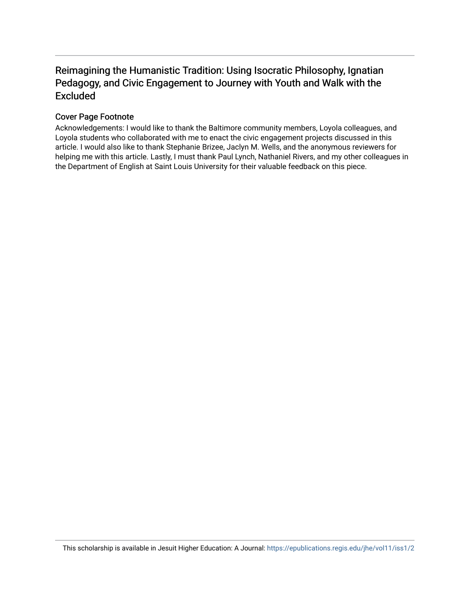# Reimagining the Humanistic Tradition: Using Isocratic Philosophy, Ignatian Pedagogy, and Civic Engagement to Journey with Youth and Walk with the Excluded

## Cover Page Footnote

Acknowledgements: I would like to thank the Baltimore community members, Loyola colleagues, and Loyola students who collaborated with me to enact the civic engagement projects discussed in this article. I would also like to thank Stephanie Brizee, Jaclyn M. Wells, and the anonymous reviewers for helping me with this article. Lastly, I must thank Paul Lynch, Nathaniel Rivers, and my other colleagues in the Department of English at Saint Louis University for their valuable feedback on this piece.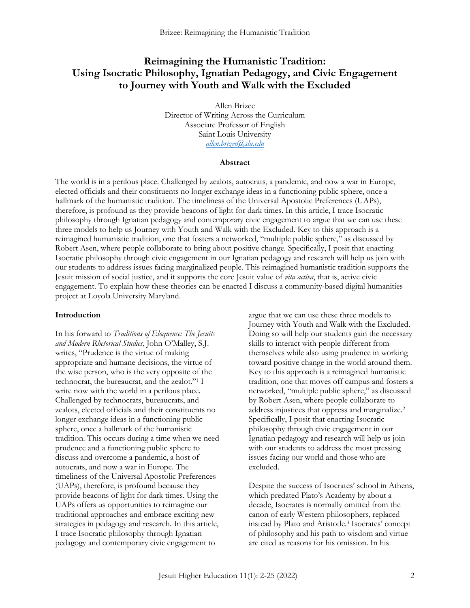## **Reimagining the Humanistic Tradition: Using Isocratic Philosophy, Ignatian Pedagogy, and Civic Engagement to Journey with Youth and Walk with the Excluded**

Allen Brizee Director of Writing Across the Curriculum Associate Professor of English Saint Louis University *[allen.brizee@slu.edu](mailto:allen.brizee@slu.edu)*

#### **Abstract**

The world is in a perilous place. Challenged by zealots, autocrats, a pandemic, and now a war in Europe, elected officials and their constituents no longer exchange ideas in a functioning public sphere, once a hallmark of the humanistic tradition. The timeliness of the Universal Apostolic Preferences (UAPs), therefore, is profound as they provide beacons of light for dark times. In this article, I trace Isocratic philosophy through Ignatian pedagogy and contemporary civic engagement to argue that we can use these three models to help us Journey with Youth and Walk with the Excluded. Key to this approach is a reimagined humanistic tradition, one that fosters a networked, "multiple public sphere," as discussed by Robert Asen, where people collaborate to bring about positive change. Specifically, I posit that enacting Isocratic philosophy through civic engagement in our Ignatian pedagogy and research will help us join with our students to address issues facing marginalized people. This reimagined humanistic tradition supports the Jesuit mission of social justice, and it supports the core Jesuit value of *vita activa*, that is, active civic engagement. To explain how these theories can be enacted I discuss a community-based digital humanities project at Loyola University Maryland.

#### **Introduction**

In his forward to *Traditions of Eloquence: The Jesuits and Modern Rhetorical Studies*, John O'Malley, S.J. writes, "Prudence is the virtue of making appropriate and humane decisions, the virtue of the wise person, who is the very opposite of the technocrat, the bureaucrat, and the zealot."<sup>1</sup> I write now with the world in a perilous place. Challenged by technocrats, bureaucrats, and zealots, elected officials and their constituents no longer exchange ideas in a functioning public sphere, once a hallmark of the humanistic tradition. This occurs during a time when we need prudence and a functioning public sphere to discuss and overcome a pandemic, a host of autocrats, and now a war in Europe. The timeliness of the Universal Apostolic Preferences (UAPs), therefore, is profound because they provide beacons of light for dark times. Using the UAPs offers us opportunities to reimagine our traditional approaches and embrace exciting new strategies in pedagogy and research. In this article, I trace Isocratic philosophy through Ignatian pedagogy and contemporary civic engagement to

argue that we can use these three models to Journey with Youth and Walk with the Excluded. Doing so will help our students gain the necessary skills to interact with people different from themselves while also using prudence in working toward positive change in the world around them. Key to this approach is a reimagined humanistic tradition, one that moves off campus and fosters a networked, "multiple public sphere," as discussed by Robert Asen, where people collaborate to address injustices that oppress and marginalize.<sup>2</sup> Specifically, I posit that enacting Isocratic philosophy through civic engagement in our Ignatian pedagogy and research will help us join with our students to address the most pressing issues facing our world and those who are excluded.

Despite the success of Isocrates' school in Athens, which predated Plato's Academy by about a decade, Isocrates is normally omitted from the canon of early Western philosophers, replaced instead by Plato and Aristotle.<sup>3</sup> Isocrates' concept of philosophy and his path to wisdom and virtue are cited as reasons for his omission. In his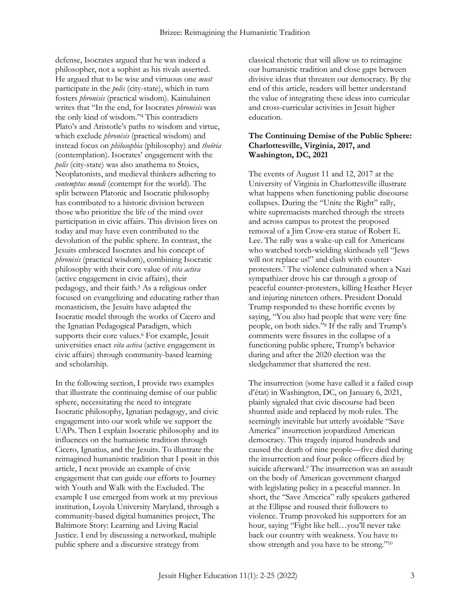defense, Isocrates argued that he was indeed a philosopher, not a sophist as his rivals asserted. He argued that to be wise and virtuous one *must* participate in the *polis* (city-state), which in turn fosters *phronēsis* (practical wisdom). Kainulainen writes that "In the end, for Isocrates *phronēsis* was the only kind of wisdom."<sup>4</sup> This contradicts Plato's and Aristotle's paths to wisdom and virtue, which exclude *phronēsis* (practical wisdom) and instead focus on *philosophia* (philosophy) and *theôria* (contemplation). Isocrates' engagement with the *polis* (city-state) was also anathema to Stoics, Neoplatonists, and medieval thinkers adhering to *contemptus mundi* (contempt for the world). The split between Platonic and Isocratic philosophy has contributed to a historic division between those who prioritize the life of the mind over participation in civic affairs. This division lives on today and may have even contributed to the devolution of the public sphere. In contrast, the Jesuits embraced Isocrates and his concept of *phronēsis* (practical wisdom), combining Isocratic philosophy with their core value of *vita activa* (active engagement in civic affairs), their pedagogy, and their faith.<sup>5</sup> As a religious order focused on evangelizing and educating rather than monasticism, the Jesuits have adapted the Isocratic model through the works of Cicero and the Ignatian Pedagogical Paradigm, which supports their core values.<sup>6</sup> For example, Jesuit universities enact *vita activa* (active engagement in civic affairs) through community-based learning and scholarship.

In the following section, I provide two examples that illustrate the continuing demise of our public sphere, necessitating the need to integrate Isocratic philosophy, Ignatian pedagogy, and civic engagement into our work while we support the UAPs. Then I explain Isocratic philosophy and its influences on the humanistic tradition through Cicero, Ignatius, and the Jesuits. To illustrate the reimagined humanistic tradition that I posit in this article, I next provide an example of civic engagement that can guide our efforts to Journey with Youth and Walk with the Excluded. The example I use emerged from work at my previous institution, Loyola University Maryland, through a community-based digital humanities project, The Baltimore Story: Learning and Living Racial Justice. I end by discussing a networked, multiple public sphere and a discursive strategy from

classical rhetoric that will allow us to reimagine our humanistic tradition and close gaps between divisive ideas that threaten our democracy. By the end of this article, readers will better understand the value of integrating these ideas into curricular and cross-curricular activities in Jesuit higher education.

#### **The Continuing Demise of the Public Sphere: Charlottesville, Virginia, 2017, and Washington, DC, 2021**

The events of August 11 and 12, 2017 at the University of Virginia in Charlottesville illustrate what happens when functioning public discourse collapses. During the "Unite the Right" rally, white supremacists marched through the streets and across campus to protest the proposed removal of a Jim Crow-era statue of Robert E. Lee. The rally was a wake-up call for Americans who watched torch-wielding skinheads yell "Jews will not replace us!" and clash with counterprotesters.<sup>7</sup> The violence culminated when a Nazi sympathizer drove his car through a group of peaceful counter-protesters, killing Heather Heyer and injuring nineteen others. President Donald Trump responded to these horrific events by saying, "You also had people that were very fine people, on both sides."<sup>8</sup> If the rally and Trump's comments were fissures in the collapse of a functioning public sphere, Trump's behavior during and after the 2020 election was the sledgehammer that shattered the rest.

The insurrection (some have called it a failed coup d'état) in Washington, DC, on January 6, 2021, plainly signaled that civic discourse had been shunted aside and replaced by mob rules. The seemingly inevitable but utterly avoidable "Save America" insurrection jeopardized American democracy. This tragedy injured hundreds and caused the death of nine people—five died during the insurrection and four police officers died by suicide afterward.<sup>9</sup> The insurrection was an assault on the body of American government charged with legislating policy in a peaceful manner. In short, the "Save America" rally speakers gathered at the Ellipse and roused their followers to violence. Trump provoked his supporters for an hour, saying "Fight like hell…you'll never take back our country with weakness. You have to show strength and you have to be strong."10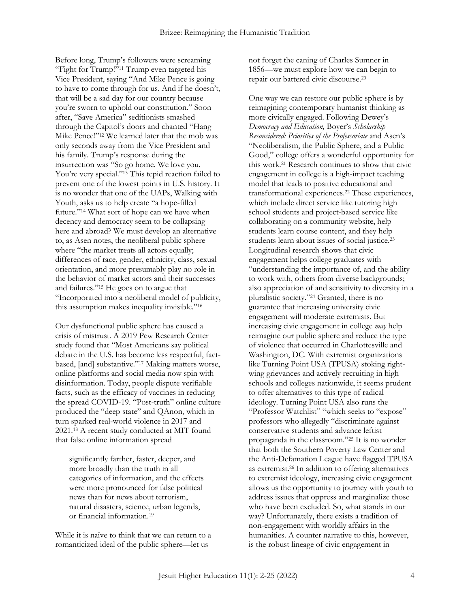Before long, Trump's followers were screaming "Fight for Trump!"<sup>11</sup> Trump even targeted his Vice President, saying "And Mike Pence is going to have to come through for us. And if he doesn't, that will be a sad day for our country because you're sworn to uphold our constitution." Soon after, "Save America" seditionists smashed through the Capitol's doors and chanted "Hang Mike Pence!"<sup>12</sup> We learned later that the mob was only seconds away from the Vice President and his family. Trump's response during the insurrection was "So go home. We love you. You're very special."<sup>13</sup> This tepid reaction failed to prevent one of the lowest points in U.S. history. It is no wonder that one of the UAPs, Walking with Youth, asks us to help create "a hope-filled future."<sup>14</sup> What sort of hope can we have when decency and democracy seem to be collapsing here and abroad? We must develop an alternative to, as Asen notes, the neoliberal public sphere where "the market treats all actors equally; differences of race, gender, ethnicity, class, sexual orientation, and more presumably play no role in the behavior of market actors and their successes and failures."<sup>15</sup> He goes on to argue that "Incorporated into a neoliberal model of publicity, this assumption makes inequality invisible."<sup>16</sup>

Our dysfunctional public sphere has caused a crisis of mistrust. A 2019 Pew Research Center study found that "Most Americans say political debate in the U.S. has become less respectful, factbased, [and] substantive."<sup>17</sup> Making matters worse, online platforms and social media now spin with disinformation. Today, people dispute verifiable facts, such as the efficacy of vaccines in reducing the spread COVID-19. "Post-truth" online culture produced the "deep state" and QAnon, which in turn sparked real-world violence in 2017 and 2021.<sup>18</sup> A recent study conducted at MIT found that false online information spread

significantly farther, faster, deeper, and more broadly than the truth in all categories of information, and the effects were more pronounced for false political news than for news about terrorism, natural disasters, science, urban legends, or financial information.<sup>19</sup>

While it is naïve to think that we can return to a romanticized ideal of the public sphere—let us

not forget the caning of Charles Sumner in 1856—we must explore how we can begin to repair our battered civic discourse.<sup>20</sup>

One way we can restore our public sphere is by reimagining contemporary humanist thinking as more civically engaged. Following Dewey's *Democracy and Education,* Boyer's *Scholarship Reconsidered: Priorities of the Professoriate* and Asen's "Neoliberalism, the Public Sphere, and a Public Good," college offers a wonderful opportunity for this work.<sup>21</sup> Research continues to show that civic engagement in college is a high-impact teaching model that leads to positive educational and transformational experiences.<sup>22</sup> These experiences, which include direct service like tutoring high school students and project-based service like collaborating on a community website, help students learn course content, and they help students learn about issues of social justice.<sup>23</sup> Longitudinal research shows that civic engagement helps college graduates with "understanding the importance of, and the ability to work with, others from diverse backgrounds; also appreciation of and sensitivity to diversity in a pluralistic society."<sup>24</sup> Granted, there is no guarantee that increasing university civic engagement will moderate extremists. But increasing civic engagement in college *may* help reimagine our public sphere and reduce the type of violence that occurred in Charlottesville and Washington, DC. With extremist organizations like Turning Point USA (TPUSA) stoking rightwing grievances and actively recruiting in high schools and colleges nationwide, it seems prudent to offer alternatives to this type of radical ideology. Turning Point USA also runs the "Professor Watchlist" "which seeks to "expose" professors who allegedly "discriminate against conservative students and advance leftist propaganda in the classroom."<sup>25</sup> It is no wonder that both the Southern Poverty Law Center and the Anti-Defamation League have flagged TPUSA as extremist.<sup>26</sup> In addition to offering alternatives to extremist ideology, increasing civic engagement allows us the opportunity to journey with youth to address issues that oppress and marginalize those who have been excluded. So, what stands in our way? Unfortunately, there exists a tradition of non-engagement with worldly affairs in the humanities. A counter narrative to this, however, is the robust lineage of civic engagement in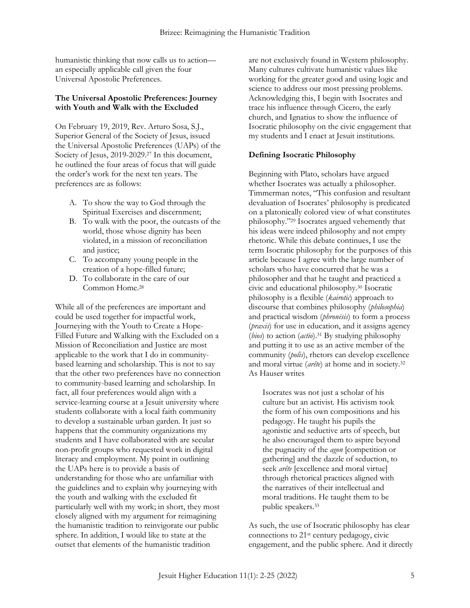humanistic thinking that now calls us to action an especially applicable call given the four Universal Apostolic Preferences.

#### **The Universal Apostolic Preferences: Journey with Youth and Walk with the Excluded**

On February 19, 2019, Rev. Arturo Sosa, S.J., Superior General of the Society of Jesus, issued the Universal Apostolic Preferences (UAPs) of the Society of Jesus, 2019-2029.<sup>27</sup> In this document, he outlined the four areas of focus that will guide the order's work for the next ten years. The preferences are as follows:

- A. To show the way to God through the Spiritual Exercises and discernment;
- B. To walk with the poor, the outcasts of the world, those whose dignity has been violated, in a mission of reconciliation and justice;
- C. To accompany young people in the creation of a hope-filled future;
- D. To collaborate in the care of our Common Home.<sup>28</sup>

While all of the preferences are important and could be used together for impactful work, Journeying with the Youth to Create a Hope-Filled Future and Walking with the Excluded on a Mission of Reconciliation and Justice are most applicable to the work that I do in communitybased learning and scholarship. This is not to say that the other two preferences have no connection to community-based learning and scholarship. In fact, all four preferences would align with a service-learning course at a Jesuit university where students collaborate with a local faith community to develop a sustainable urban garden. It just so happens that the community organizations my students and I have collaborated with are secular non-profit groups who requested work in digital literacy and employment. My point in outlining the UAPs here is to provide a basis of understanding for those who are unfamiliar with the guidelines and to explain why journeying with the youth and walking with the excluded fit particularly well with my work; in short, they most closely aligned with my argument for reimagining the humanistic tradition to reinvigorate our public sphere. In addition, I would like to state at the outset that elements of the humanistic tradition

are not exclusively found in Western philosophy. Many cultures cultivate humanistic values like working for the greater good and using logic and science to address our most pressing problems. Acknowledging this, I begin with Isocrates and trace his influence through Cicero, the early church, and Ignatius to show the influence of Isocratic philosophy on the civic engagement that my students and I enact at Jesuit institutions.

#### **Defining Isocratic Philosophy**

Beginning with Plato, scholars have argued whether Isocrates was actually a philosopher. Timmerman notes, "This confusion and resultant devaluation of Isocrates' philosophy is predicated on a platonically colored view of what constitutes philosophy."<sup>29</sup> Isocrates argued vehemently that his ideas were indeed philosophy and not empty rhetoric. While this debate continues, I use the term Isocratic philosophy for the purposes of this article because I agree with the large number of scholars who have concurred that he was a philosopher and that he taught and practiced a civic and educational philosophy.<sup>30</sup> Isocratic philosophy is a flexible (*kairotic*) approach to discourse that combines philosophy (*philosophia*) and practical wisdom (*phronēsis*) to form a process (*praxis*) for use in education, and it assigns agency (*bios*) to action (*actio*).<sup>31</sup> By studying philosophy and putting it to use as an active member of the community (*polis*), rhetors can develop excellence and moral virtue (*arête*) at home and in society.<sup>32</sup> As Hauser writes

Isocrates was not just a scholar of his culture but an activist. His activism took the form of his own compositions and his pedagogy. He taught his pupils the agonistic and seductive arts of speech, but he also encouraged them to aspire beyond the pugnacity of the *agon* [competition or gathering] and the dazzle of seduction, to seek *arête* [excellence and moral virtue] through rhetorical practices aligned with the narratives of their intellectual and moral traditions. He taught them to be public speakers.<sup>33</sup>

As such, the use of Isocratic philosophy has clear connections to 21st century pedagogy, civic engagement, and the public sphere. And it directly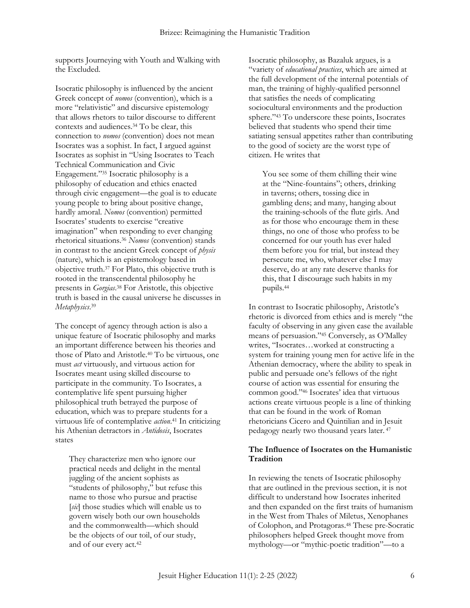supports Journeying with Youth and Walking with the Excluded.

Isocratic philosophy is influenced by the ancient Greek concept of *nomos* (convention), which is a more "relativistic" and discursive epistemology that allows rhetors to tailor discourse to different contexts and audiences.<sup>34</sup> To be clear, this connection to *nomos* (convention) does not mean Isocrates was a sophist. In fact, I argued against Isocrates as sophist in "Using Isocrates to Teach Technical Communication and Civic Engagement."<sup>35</sup> Isocratic philosophy is a philosophy of education and ethics enacted through civic engagement—the goal is to educate young people to bring about positive change, hardly amoral. *Nomos* (convention) permitted Isocrates' students to exercise "creative imagination" when responding to ever changing rhetorical situations.<sup>36</sup> *Nomos* (convention) stands in contrast to the ancient Greek concept of *physis* (nature), which is an epistemology based in objective truth.<sup>37</sup> For Plato, this objective truth is rooted in the transcendental philosophy he presents in *Gorgias*. <sup>38</sup> For Aristotle, this objective truth is based in the causal universe he discusses in *Metaphysics*. 39

The concept of agency through action is also a unique feature of Isocratic philosophy and marks an important difference between his theories and those of Plato and Aristotle.<sup>40</sup> To be virtuous, one must *act* virtuously, and virtuous action for Isocrates meant using skilled discourse to participate in the community. To Isocrates, a contemplative life spent pursuing higher philosophical truth betrayed the purpose of education, which was to prepare students for a virtuous life of contemplative *action*. <sup>41</sup> In criticizing his Athenian detractors in *Antidosis*, Isocrates states

They characterize men who ignore our practical needs and delight in the mental juggling of the ancient sophists as "students of philosophy," but refuse this name to those who pursue and practise [*sic*] those studies which will enable us to govern wisely both our own households and the commonwealth—which should be the objects of our toil, of our study, and of our every act.<sup>42</sup>

Isocratic philosophy, as Bazaluk argues, is a "variety of *educational practices*, which are aimed at the full development of the internal potentials of man, the training of highly-qualified personnel that satisfies the needs of complicating sociocultural environments and the production sphere."<sup>43</sup> To underscore these points, Isocrates believed that students who spend their time satiating sensual appetites rather than contributing to the good of society are the worst type of citizen. He writes that

You see some of them chilling their wine at the "Nine-fountains"; others, drinking in taverns; others, tossing dice in gambling dens; and many, hanging about the training-schools of the flute girls. And as for those who encourage them in these things, no one of those who profess to be concerned for our youth has ever haled them before you for trial, but instead they persecute me, who, whatever else I may deserve, do at any rate deserve thanks for this, that I discourage such habits in my pupils.<sup>44</sup>

In contrast to Isocratic philosophy, Aristotle's rhetoric is divorced from ethics and is merely "the faculty of observing in any given case the available means of persuasion."<sup>45</sup> Conversely, as O'Malley writes, "Isocrates…worked at constructing a system for training young men for active life in the Athenian democracy, where the ability to speak in public and persuade one's fellows of the right course of action was essential for ensuring the common good."<sup>46</sup> Isocrates' idea that virtuous actions create virtuous people is a line of thinking that can be found in the work of Roman rhetoricians Cicero and Quintilian and in Jesuit pedagogy nearly two thousand years later. <sup>47</sup>

#### **The Influence of Isocrates on the Humanistic Tradition**

In reviewing the tenets of Isocratic philosophy that are outlined in the previous section, it is not difficult to understand how Isocrates inherited and then expanded on the first traits of humanism in the West from Thales of Miletus, Xenophanes of Colophon, and Protagoras.<sup>48</sup> These pre-Socratic philosophers helped Greek thought move from mythology—or "mythic-poetic tradition"—to a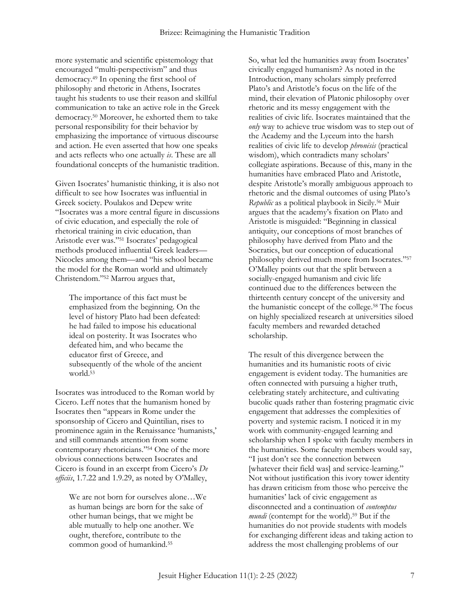more systematic and scientific epistemology that encouraged "multi-perspectivism" and thus democracy.<sup>49</sup> In opening the first school of philosophy and rhetoric in Athens, Isocrates taught his students to use their reason and skillful communication to take an active role in the Greek democracy.<sup>50</sup> Moreover, he exhorted them to take personal responsibility for their behavior by emphasizing the importance of virtuous discourse and action. He even asserted that how one speaks and acts reflects who one actually *is*. These are all foundational concepts of the humanistic tradition.

Given Isocrates' humanistic thinking, it is also not difficult to see how Isocrates was influential in Greek society. Poulakos and Depew write "Isocrates was a more central figure in discussions of civic education, and especially the role of rhetorical training in civic education, than Aristotle ever was."<sup>51</sup> Isocrates' pedagogical methods produced influential Greek leaders— Nicocles among them—and "his school became the model for the Roman world and ultimately Christendom."<sup>52</sup> Marrou argues that,

The importance of this fact must be emphasized from the beginning. On the level of history Plato had been defeated: he had failed to impose his educational ideal on posterity. It was Isocrates who defeated him, and who became the educator first of Greece, and subsequently of the whole of the ancient world.<sup>53</sup>

Isocrates was introduced to the Roman world by Cicero. Leff notes that the humanism honed by Isocrates then "appears in Rome under the sponsorship of Cicero and Quintilian, rises to prominence again in the Renaissance 'humanists,' and still commands attention from some contemporary rhetoricians."<sup>54</sup> One of the more obvious connections between Isocrates and Cicero is found in an excerpt from Cicero's *De officiis*, 1.7.22 and 1.9.29, as noted by O'Malley,

We are not born for ourselves alone…We as human beings are born for the sake of other human beings, that we might be able mutually to help one another. We ought, therefore, contribute to the common good of humankind.<sup>55</sup>

So, what led the humanities away from Isocrates' civically engaged humanism? As noted in the Introduction, many scholars simply preferred Plato's and Aristotle's focus on the life of the mind, their elevation of Platonic philosophy over rhetoric and its messy engagement with the realities of civic life. Isocrates maintained that the *only* way to achieve true wisdom was to step out of the Academy and the Lyceum into the harsh realities of civic life to develop *phronēsis* (practical wisdom), which contradicts many scholars' collegiate aspirations. Because of this, many in the humanities have embraced Plato and Aristotle, despite Aristotle's morally ambiguous approach to rhetoric and the dismal outcomes of using Plato's *Republic* as a political playbook in Sicily.<sup>56</sup> Muir argues that the academy's fixation on Plato and Aristotle is misguided: "Beginning in classical antiquity, our conceptions of most branches of philosophy have derived from Plato and the Socratics, but our conception of educational philosophy derived much more from Isocrates."<sup>57</sup> O'Malley points out that the split between a socially-engaged humanism and civic life continued due to the differences between the thirteenth century concept of the university and the humanistic concept of the college.<sup>58</sup> The focus on highly specialized research at universities siloed faculty members and rewarded detached scholarship.

The result of this divergence between the humanities and its humanistic roots of civic engagement is evident today. The humanities are often connected with pursuing a higher truth, celebrating stately architecture, and cultivating bucolic quads rather than fostering pragmatic civic engagement that addresses the complexities of poverty and systemic racism. I noticed it in my work with community-engaged learning and scholarship when I spoke with faculty members in the humanities. Some faculty members would say, "I just don't see the connection between [whatever their field was] and service-learning." Not without justification this ivory tower identity has drawn criticism from those who perceive the humanities' lack of civic engagement as disconnected and a continuation of *contemptus mundi* (contempt for the world).<sup>59</sup> But if the humanities do not provide students with models for exchanging different ideas and taking action to address the most challenging problems of our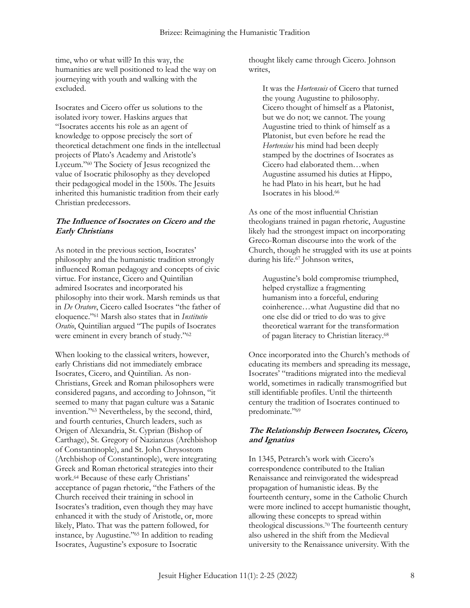time, who or what will? In this way, the humanities are well positioned to lead the way on journeying with youth and walking with the excluded.

Isocrates and Cicero offer us solutions to the isolated ivory tower. Haskins argues that "Isocrates accents his role as an agent of knowledge to oppose precisely the sort of theoretical detachment one finds in the intellectual projects of Plato's Academy and Aristotle's Lyceum."<sup>60</sup> The Society of Jesus recognized the value of Isocratic philosophy as they developed their pedagogical model in the 1500s. The Jesuits inherited this humanistic tradition from their early Christian predecessors.

#### **The Influence of Isocrates on Cicero and the Early Christians**

As noted in the previous section, Isocrates' philosophy and the humanistic tradition strongly influenced Roman pedagogy and concepts of civic virtue. For instance, Cicero and Quintilian admired Isocrates and incorporated his philosophy into their work. Marsh reminds us that in *De Oratore*, Cicero called Isocrates "the father of eloquence."<sup>61</sup> Marsh also states that in *Institutio Oratio*, Quintilian argued "The pupils of Isocrates were eminent in every branch of study."<sup>62</sup>

When looking to the classical writers, however, early Christians did not immediately embrace Isocrates, Cicero, and Quintilian. As non-Christians, Greek and Roman philosophers were considered pagans, and according to Johnson, "it seemed to many that pagan culture was a Satanic invention."<sup>63</sup> Nevertheless, by the second, third, and fourth centuries, Church leaders, such as Origen of Alexandria, St. Cyprian (Bishop of Carthage), St. Gregory of Nazianzus (Archbishop of Constantinople), and St. John Chrysostom (Archbishop of Constantinople), were integrating Greek and Roman rhetorical strategies into their work.<sup>64</sup> Because of these early Christians' acceptance of pagan rhetoric, "the Fathers of the Church received their training in school in Isocrates's tradition, even though they may have enhanced it with the study of Aristotle, or, more likely, Plato. That was the pattern followed, for instance, by Augustine."<sup>65</sup> In addition to reading Isocrates, Augustine's exposure to Isocratic

thought likely came through Cicero. Johnson writes,

It was the *Hortensuis* of Cicero that turned the young Augustine to philosophy. Cicero thought of himself as a Platonist, but we do not; we cannot. The young Augustine tried to think of himself as a Platonist, but even before he read the *Hortensius* his mind had been deeply stamped by the doctrines of Isocrates as Cicero had elaborated them…when Augustine assumed his duties at Hippo, he had Plato in his heart, but he had Isocrates in his blood.<sup>66</sup>

As one of the most influential Christian theologians trained in pagan rhetoric, Augustine likely had the strongest impact on incorporating Greco-Roman discourse into the work of the Church, though he struggled with its use at points during his life.<sup>67</sup> Johnson writes,

Augustine's bold compromise triumphed, helped crystallize a fragmenting humanism into a forceful, enduring coinherence…what Augustine did that no one else did or tried to do was to give theoretical warrant for the transformation of pagan literacy to Christian literacy.<sup>68</sup>

Once incorporated into the Church's methods of educating its members and spreading its message, Isocrates' "traditions migrated into the medieval world, sometimes in radically transmogrified but still identifiable profiles. Until the thirteenth century the tradition of Isocrates continued to predominate."<sup>69</sup>

## **The Relationship Between Isocrates, Cicero, and Ignatius**

In 1345, Petrarch's work with Cicero's correspondence contributed to the Italian Renaissance and reinvigorated the widespread propagation of humanistic ideas. By the fourteenth century, some in the Catholic Church were more inclined to accept humanistic thought, allowing these concepts to spread within theological discussions.<sup>70</sup> The fourteenth century also ushered in the shift from the Medieval university to the Renaissance university. With the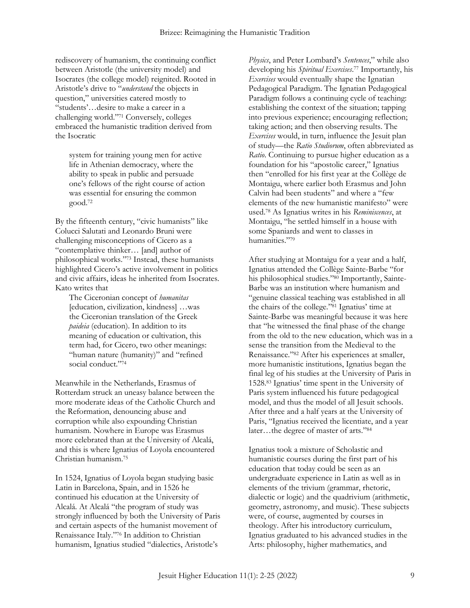rediscovery of humanism, the continuing conflict between Aristotle (the university model) and Isocrates (the college model) reignited. Rooted in Aristotle's drive to "*understand* the objects in question," universities catered mostly to "students'…desire to make a career in a challenging world."<sup>71</sup> Conversely, colleges embraced the humanistic tradition derived from the Isocratic

system for training young men for active life in Athenian democracy, where the ability to speak in public and persuade one's fellows of the right course of action was essential for ensuring the common good.<sup>72</sup>

By the fifteenth century, "civic humanists" like Colucci Salutati and Leonardo Bruni were challenging misconceptions of Cicero as a "contemplative thinker… [and] author of philosophical works."<sup>73</sup> Instead, these humanists highlighted Cicero's active involvement in politics and civic affairs, ideas he inherited from Isocrates. Kato writes that

The Ciceronian concept of *humanitas* [education, civilization, kindness] …was the Ciceronian translation of the Greek *paideia* (education). In addition to its meaning of education or cultivation, this term had, for Cicero, two other meanings: "human nature (humanity)" and "refined social conduct."74

Meanwhile in the Netherlands, Erasmus of Rotterdam struck an uneasy balance between the more moderate ideas of the Catholic Church and the Reformation, denouncing abuse and corruption while also expounding Christian humanism. Nowhere in Europe was Erasmus more celebrated than at the University of Alcalá, and this is where Ignatius of Loyola encountered Christian humanism.<sup>75</sup>

In 1524, Ignatius of Loyola began studying basic Latin in Barcelona, Spain, and in 1526 he continued his education at the University of Alcalá. At Alcalá "the program of study was strongly influenced by both the University of Paris and certain aspects of the humanist movement of Renaissance Italy."<sup>76</sup> In addition to Christian humanism, Ignatius studied "dialectics, Aristotle's

*Physics*, and Peter Lombard's *Sentences*," while also developing his *Spiritual Exercises*. <sup>77</sup> Importantly, his *Exercises* would eventually shape the Ignatian Pedagogical Paradigm. The Ignatian Pedagogical Paradigm follows a continuing cycle of teaching: establishing the context of the situation; tapping into previous experience; encouraging reflection; taking action; and then observing results. The *Exercises* would, in turn, influence the Jesuit plan of study—the *Ratio Studiorum*, often abbreviated as *Ratio*. Continuing to pursue higher education as a foundation for his "apostolic career," Ignatius then "enrolled for his first year at the Collège de Montaigu, where earlier both Erasmus and John Calvin had been students" and where a "few elements of the new humanistic manifesto" were used.<sup>78</sup> As Ignatius writes in his *Reminiscences*, at Montaigu, "he settled himself in a house with some Spaniards and went to classes in humanities."<sup>79</sup>

After studying at Montaigu for a year and a half, Ignatius attended the Collège Sainte-Barbe "for his philosophical studies."80 Importantly, Sainte-Barbe was an institution where humanism and "genuine classical teaching was established in all the chairs of the college."<sup>81</sup> Ignatius' time at Sainte-Barbe was meaningful because it was here that "he witnessed the final phase of the change from the old to the new education, which was in a sense the transition from the Medieval to the Renaissance."<sup>82</sup> After his experiences at smaller, more humanistic institutions, Ignatius began the final leg of his studies at the University of Paris in 1528.<sup>83</sup> Ignatius' time spent in the University of Paris system influenced his future pedagogical model, and thus the model of all Jesuit schools. After three and a half years at the University of Paris, "Ignatius received the licentiate, and a year later…the degree of master of arts."<sup>84</sup>

Ignatius took a mixture of Scholastic and humanistic courses during the first part of his education that today could be seen as an undergraduate experience in Latin as well as in elements of the trivium (grammar, rhetoric, dialectic or logic) and the quadrivium (arithmetic, geometry, astronomy, and music). These subjects were, of course, augmented by courses in theology. After his introductory curriculum, Ignatius graduated to his advanced studies in the Arts: philosophy, higher mathematics, and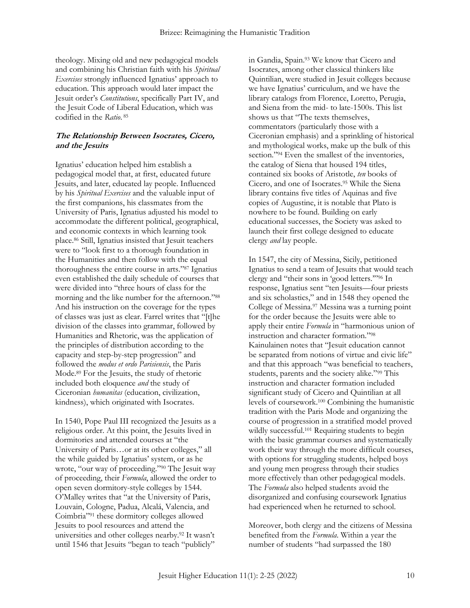theology. Mixing old and new pedagogical models and combining his Christian faith with his *Spiritual Exercises* strongly influenced Ignatius' approach to education. This approach would later impact the Jesuit order's *Constitutions*, specifically Part IV, and the Jesuit Code of Liberal Education, which was codified in the *Ratio*. 85

#### **The Relationship Between Isocrates, Cicero, and the Jesuits**

Ignatius' education helped him establish a pedagogical model that, at first, educated future Jesuits, and later, educated lay people. Influenced by his *Spiritual Exercises* and the valuable input of the first companions, his classmates from the University of Paris, Ignatius adjusted his model to accommodate the different political, geographical, and economic contexts in which learning took place.<sup>86</sup> Still, Ignatius insisted that Jesuit teachers were to "look first to a thorough foundation in the Humanities and then follow with the equal thoroughness the entire course in arts."<sup>87</sup> Ignatius even established the daily schedule of courses that were divided into "three hours of class for the morning and the like number for the afternoon."<sup>88</sup> And his instruction on the coverage for the types of classes was just as clear. Farrel writes that "[t]he division of the classes into grammar, followed by Humanities and Rhetoric, was the application of the principles of distribution according to the capacity and step-by-step progression" and followed the *modus et ordo Parisiensis*, the Paris Mode.<sup>89</sup> For the Jesuits, the study of rhetoric included both eloquence *and* the study of Ciceronian *humanitas* (education, civilization, kindness), which originated with Isocrates.

In 1540, Pope Paul III recognized the Jesuits as a religious order. At this point, the Jesuits lived in dormitories and attended courses at "the University of Paris…or at its other colleges," all the while guided by Ignatius' system, or as he wrote, "our way of proceeding."<sup>90</sup> The Jesuit way of proceeding, their *Formula*, allowed the order to open seven dormitory-style colleges by 1544. O'Malley writes that "at the University of Paris, Louvain, Cologne, Padua, Alcalá, Valencia, and Coimbria"<sup>91</sup> these dormitory colleges allowed Jesuits to pool resources and attend the universities and other colleges nearby.<sup>92</sup> It wasn't until 1546 that Jesuits "began to teach "publicly"

in Gandia, Spain.<sup>93</sup> We know that Cicero and Isocrates, among other classical thinkers like Quintilian, were studied in Jesuit colleges because we have Ignatius' curriculum, and we have the library catalogs from Florence, Loretto, Perugia, and Siena from the mid- to late-1500s. This list shows us that "The texts themselves, commentators (particularly those with a Ciceronian emphasis) and a sprinkling of historical and mythological works, make up the bulk of this section."<sup>94</sup> Even the smallest of the inventories, the catalog of Siena that housed 194 titles, contained six books of Aristotle, *ten* books of Cicero, and one of Isocrates.<sup>95</sup> While the Siena library contains five titles of Aquinas and five copies of Augustine, it is notable that Plato is nowhere to be found. Building on early educational successes, the Society was asked to launch their first college designed to educate clergy *and* lay people.

In 1547, the city of Messina, Sicily, petitioned Ignatius to send a team of Jesuits that would teach clergy and "their sons in 'good letters.'" <sup>96</sup> In response, Ignatius sent "ten Jesuits—four priests and six scholastics," and in 1548 they opened the College of Messina.<sup>97</sup> Messina was a turning point for the order because the Jesuits were able to apply their entire *Formula* in "harmonious union of instruction and character formation."<sup>98</sup> Kainulainen notes that "Jesuit education cannot be separated from notions of virtue and civic life" and that this approach "was beneficial to teachers, students, parents and the society alike."<sup>99</sup> This instruction and character formation included significant study of Cicero and Quintilian at all levels of coursework.<sup>100</sup> Combining the humanistic tradition with the Paris Mode and organizing the course of progression in a stratified model proved wildly successful.<sup>101</sup> Requiring students to begin with the basic grammar courses and systematically work their way through the more difficult courses, with options for struggling students, helped boys and young men progress through their studies more effectively than other pedagogical models. The *Formula* also helped students avoid the disorganized and confusing coursework Ignatius had experienced when he returned to school.

Moreover, both clergy and the citizens of Messina benefited from the *Formula*. Within a year the number of students "had surpassed the 180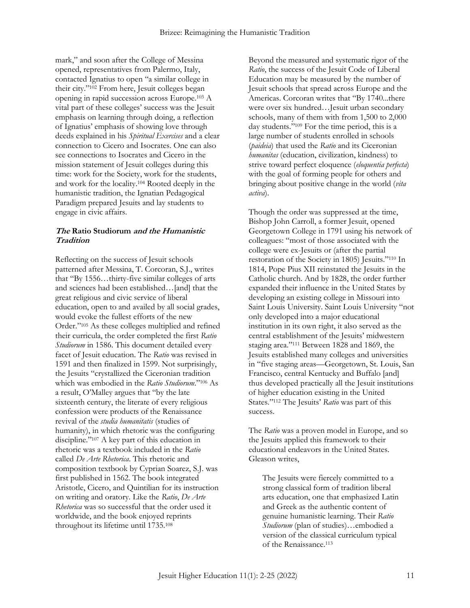mark," and soon after the College of Messina opened, representatives from Palermo, Italy, contacted Ignatius to open "a similar college in their city."<sup>102</sup> From here, Jesuit colleges began opening in rapid succession across Europe.<sup>103</sup> A vital part of these colleges' success was the Jesuit emphasis on learning through doing, a reflection of Ignatius' emphasis of showing love through deeds explained in his *Spiritual Exercises* and a clear connection to Cicero and Isocrates. One can also see connections to Isocrates and Cicero in the mission statement of Jesuit colleges during this time: work for the Society, work for the students, and work for the locality.<sup>104</sup> Rooted deeply in the humanistic tradition, the Ignatian Pedagogical Paradigm prepared Jesuits and lay students to engage in civic affairs.

#### **The Ratio Studiorum and the Humanistic Tradition**

Reflecting on the success of Jesuit schools patterned after Messina, T. Corcoran, S.J., writes that "By 1556…thirty-five similar colleges of arts and sciences had been established…[and] that the great religious and civic service of liberal education, open to and availed by all social grades, would evoke the fullest efforts of the new Order."<sup>105</sup> As these colleges multiplied and refined their curricula, the order completed the first *Ratio Studiorum* in 1586. This document detailed every facet of Jesuit education. The *Ratio* was revised in 1591 and then finalized in 1599. Not surprisingly, the Jesuits "crystallized the Ciceronian tradition which was embodied in the *Ratio Studiorum*."<sup>106</sup> As a result, O'Malley argues that "by the late sixteenth century, the literate of every religious confession were products of the Renaissance revival of the *studia humanitatis* (studies of humanity), in which rhetoric was the configuring discipline."<sup>107</sup> A key part of this education in rhetoric was a textbook included in the *Ratio* called *De Arte Rhetorica*. This rhetoric and composition textbook by Cyprian Soarez, S.J. was first published in 1562. The book integrated Aristotle, Cicero, and Quintilian for its instruction on writing and oratory. Like the *Ratio*, *De Arte Rhetorica* was so successful that the order used it worldwide, and the book enjoyed reprints throughout its lifetime until 1735.<sup>108</sup>

Beyond the measured and systematic rigor of the *Ratio*, the success of the Jesuit Code of Liberal Education may be measured by the number of Jesuit schools that spread across Europe and the Americas. Corcoran writes that "By 1740...there were over six hundred…Jesuit urban secondary schools, many of them with from 1,500 to 2,000 day students."<sup>109</sup> For the time period, this is a large number of students enrolled in schools (*paideia*) that used the *Ratio* and its Ciceronian *humanitas* (education, civilization, kindness) to strive toward perfect eloquence (*eloquentia perfecta*) with the goal of forming people for others and bringing about positive change in the world (*vita activa*).

Though the order was suppressed at the time, Bishop John Carroll, a former Jesuit, opened Georgetown College in 1791 using his network of colleagues: "most of those associated with the college were ex-Jesuits or (after the partial restoration of the Society in 1805) Jesuits."<sup>110</sup> In 1814, Pope Pius XII reinstated the Jesuits in the Catholic church. And by 1828, the order further expanded their influence in the United States by developing an existing college in Missouri into Saint Louis University. Saint Louis University "not only developed into a major educational institution in its own right, it also served as the central establishment of the Jesuits' midwestern staging area."<sup>111</sup> Between 1828 and 1869, the Jesuits established many colleges and universities in "five staging areas—Georgetown, St. Louis, San Francisco, central Kentucky and Buffalo [and] thus developed practically all the Jesuit institutions of higher education existing in the United States."<sup>112</sup> The Jesuits' *Ratio* was part of this success.

The *Ratio* was a proven model in Europe, and so the Jesuits applied this framework to their educational endeavors in the United States. Gleason writes,

The Jesuits were fiercely committed to a strong classical form of tradition liberal arts education, one that emphasized Latin and Greek as the authentic content of genuine humanistic learning. Their *Ratio Studiorum* (plan of studies)…embodied a version of the classical curriculum typical of the Renaissance.113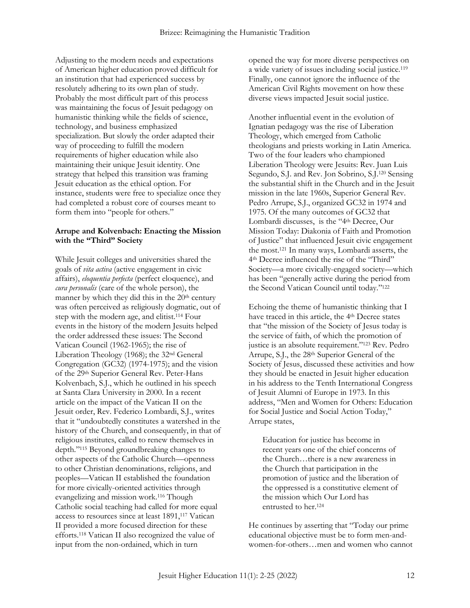Adjusting to the modern needs and expectations of American higher education proved difficult for an institution that had experienced success by resolutely adhering to its own plan of study. Probably the most difficult part of this process was maintaining the focus of Jesuit pedagogy on humanistic thinking while the fields of science, technology, and business emphasized specialization. But slowly the order adapted their way of proceeding to fulfill the modern requirements of higher education while also maintaining their unique Jesuit identity. One strategy that helped this transition was framing Jesuit education as the ethical option. For instance, students were free to specialize once they had completed a robust core of courses meant to form them into "people for others."

#### **Arrupe and Kolvenbach: Enacting the Mission with the "Third" Society**

While Jesuit colleges and universities shared the goals of *vita activa* (active engagement in civic affairs), *eloquentia perfecta* (perfect eloquence), and *cura personalis* (care of the whole person), the manner by which they did this in the  $20<sup>th</sup>$  century was often perceived as religiously dogmatic, out of step with the modern age, and elitist.<sup>114</sup> Four events in the history of the modern Jesuits helped the order addressed these issues: The Second Vatican Council (1962-1965); the rise of Liberation Theology (1968); the 32nd General Congregation (GC32) (1974-1975); and the vision of the 29th Superior General Rev. Peter-Hans Kolvenbach, S.J., which he outlined in his speech at Santa Clara University in 2000. In a recent article on the impact of the Vatican II on the Jesuit order, Rev. Federico Lombardi, S.J., writes that it "undoubtedly constitutes a watershed in the history of the Church, and consequently, in that of religious institutes, called to renew themselves in depth."<sup>115</sup> Beyond groundbreaking changes to other aspects of the Catholic Church—openness to other Christian denominations, religions, and peoples—Vatican II established the foundation for more civically-oriented activities through evangelizing and mission work.<sup>116</sup> Though Catholic social teaching had called for more equal access to resources since at least 1891,<sup>117</sup> Vatican II provided a more focused direction for these efforts.<sup>118</sup> Vatican II also recognized the value of input from the non-ordained, which in turn

opened the way for more diverse perspectives on a wide variety of issues including social justice.<sup>119</sup> Finally, one cannot ignore the influence of the American Civil Rights movement on how these diverse views impacted Jesuit social justice.

Another influential event in the evolution of Ignatian pedagogy was the rise of Liberation Theology, which emerged from Catholic theologians and priests working in Latin America. Two of the four leaders who championed Liberation Theology were Jesuits: Rev. Juan Luis Segundo, S.J. and Rev. Jon Sobrino, S.J.<sup>120</sup> Sensing the substantial shift in the Church and in the Jesuit mission in the late 1960s, Superior General Rev. Pedro Arrupe, S.J., organized GC32 in 1974 and 1975. Of the many outcomes of GC32 that Lombardi discusses, is the "4th Decree, Our Mission Today: Diakonia of Faith and Promotion of Justice" that influenced Jesuit civic engagement the most.<sup>121</sup> In many ways, Lombardi asserts, the 4th Decree influenced the rise of the "Third" Society—a more civically-engaged society—which has been "generally active during the period from the Second Vatican Council until today."<sup>122</sup>

Echoing the theme of humanistic thinking that I have traced in this article, the 4<sup>th</sup> Decree states that "the mission of the Society of Jesus today is the service of faith, of which the promotion of justice is an absolute requirement."<sup>123</sup> Rev. Pedro Arrupe, S.J., the 28th Superior General of the Society of Jesus, discussed these activities and how they should be enacted in Jesuit higher education in his address to the Tenth International Congress of Jesuit Alumni of Europe in 1973. In this address, "Men and Women for Others: Education for Social Justice and Social Action Today," Arrupe states,

Education for justice has become in recent years one of the chief concerns of the Church…there is a new awareness in the Church that participation in the promotion of justice and the liberation of the oppressed is a constitutive element of the mission which Our Lord has entrusted to her.<sup>124</sup>

He continues by asserting that "Today our prime educational objective must be to form men-andwomen-for-others…men and women who cannot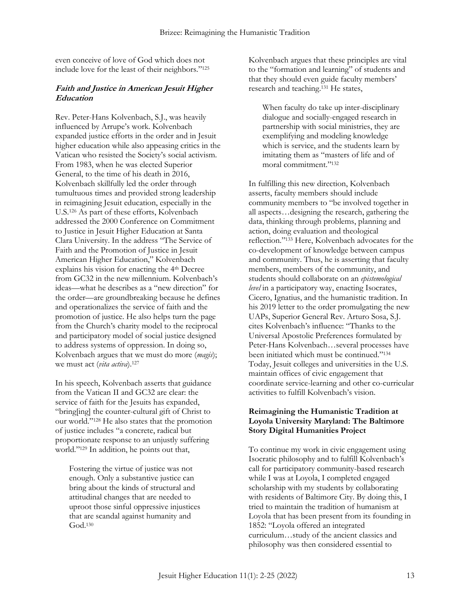even conceive of love of God which does not include love for the least of their neighbors."<sup>125</sup>

## **Faith and Justice in American Jesuit Higher Education**

Rev. Peter-Hans Kolvenbach, S.J., was heavily influenced by Arrupe's work. Kolvenbach expanded justice efforts in the order and in Jesuit higher education while also appeasing critics in the Vatican who resisted the Society's social activism. From 1983, when he was elected Superior General, to the time of his death in 2016, Kolvenbach skillfully led the order through tumultuous times and provided strong leadership in reimagining Jesuit education, especially in the U.S.<sup>126</sup> As part of these efforts, Kolvenbach addressed the 2000 Conference on Commitment to Justice in Jesuit Higher Education at Santa Clara University. In the address "The Service of Faith and the Promotion of Justice in Jesuit American Higher Education," Kolvenbach explains his vision for enacting the 4th Decree from GC32 in the new millennium. Kolvenbach's ideas—what he describes as a "new direction" for the order—are groundbreaking because he defines and operationalizes the service of faith and the promotion of justice. He also helps turn the page from the Church's charity model to the reciprocal and participatory model of social justice designed to address systems of oppression. In doing so, Kolvenbach argues that we must do more (*magis*); we must act (*vita activa*).<sup>127</sup>

In his speech, Kolvenbach asserts that guidance from the Vatican II and GC32 are clear: the service of faith for the Jesuits has expanded, "bring[ing] the counter-cultural gift of Christ to our world."<sup>128</sup> He also states that the promotion of justice includes "a concrete, radical but proportionate response to an unjustly suffering world."<sup>129</sup> In addition, he points out that,

Fostering the virtue of justice was not enough. Only a substantive justice can bring about the kinds of structural and attitudinal changes that are needed to uproot those sinful oppressive injustices that are scandal against humanity and God.<sup>130</sup>

Kolvenbach argues that these principles are vital to the "formation and learning" of students and that they should even guide faculty members' research and teaching.<sup>131</sup> He states,

When faculty do take up inter-disciplinary dialogue and socially-engaged research in partnership with social ministries, they are exemplifying and modeling knowledge which is service, and the students learn by imitating them as "masters of life and of moral commitment."<sup>132</sup>

In fulfilling this new direction, Kolvenbach asserts, faculty members should include community members to "be involved together in all aspects…designing the research, gathering the data, thinking through problems, planning and action, doing evaluation and theological reflection."<sup>133</sup> Here, Kolvenbach advocates for the co-development of knowledge between campus and community. Thus, he is asserting that faculty members, members of the community, and students should collaborate on an *epistemological level* in a participatory way, enacting Isocrates, Cicero, Ignatius, and the humanistic tradition. In his 2019 letter to the order promulgating the new UAPs, Superior General Rev. Arturo Sosa, S.J. cites Kolvenbach's influence: "Thanks to the Universal Apostolic Preferences formulated by Peter-Hans Kolvenbach…several processes have been initiated which must be continued."<sup>134</sup> Today, Jesuit colleges and universities in the U.S. maintain offices of civic engagement that coordinate service-learning and other co-curricular activities to fulfill Kolvenbach's vision.

#### **Reimagining the Humanistic Tradition at Loyola University Maryland: The Baltimore Story Digital Humanities Project**

To continue my work in civic engagement using Isocratic philosophy and to fulfill Kolvenbach's call for participatory community-based research while I was at Loyola, I completed engaged scholarship with my students by collaborating with residents of Baltimore City. By doing this, I tried to maintain the tradition of humanism at Loyola that has been present from its founding in 1852: "Loyola offered an integrated curriculum…study of the ancient classics and philosophy was then considered essential to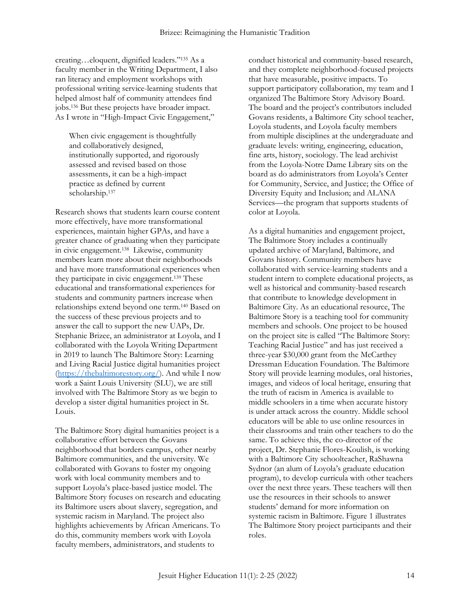creating…eloquent, dignified leaders."<sup>135</sup> As a faculty member in the Writing Department, I also ran literacy and employment workshops with professional writing service-learning students that helped almost half of community attendees find jobs.<sup>136</sup> But these projects have broader impact. As I wrote in "High-Impact Civic Engagement,"

When civic engagement is thoughtfully and collaboratively designed, institutionally supported, and rigorously assessed and revised based on those assessments, it can be a high-impact practice as defined by current scholarship.<sup>137</sup>

Research shows that students learn course content more effectively, have more transformational experiences, maintain higher GPAs, and have a greater chance of graduating when they participate in civic engagement.<sup>138</sup> Likewise, community members learn more about their neighborhoods and have more transformational experiences when they participate in civic engagement.<sup>139</sup> These educational and transformational experiences for students and community partners increase when relationships extend beyond one term.<sup>140</sup> Based on the success of these previous projects and to answer the call to support the new UAPs, Dr. Stephanie Brizee, an administrator at Loyola, and I collaborated with the Loyola Writing Department in 2019 to launch The Baltimore Story: Learning and Living Racial Justice digital humanities project [\(https://thebaltimorestory.org/\)](https://thebaltimorestory.org/). And while I now work a Saint Louis University (SLU), we are still involved with The Baltimore Story as we begin to develop a sister digital humanities project in St. Louis.

The Baltimore Story digital humanities project is a collaborative effort between the Govans neighborhood that borders campus, other nearby Baltimore communities, and the university. We collaborated with Govans to foster my ongoing work with local community members and to support Loyola's place-based justice model. The Baltimore Story focuses on research and educating its Baltimore users about slavery, segregation, and systemic racism in Maryland. The project also highlights achievements by African Americans. To do this, community members work with Loyola faculty members, administrators, and students to

conduct historical and community-based research, and they complete neighborhood-focused projects that have measurable, positive impacts. To support participatory collaboration, my team and I organized The Baltimore Story Advisory Board. The board and the project's contributors included Govans residents, a Baltimore City school teacher, Loyola students, and Loyola faculty members from multiple disciplines at the undergraduate and graduate levels: writing, engineering, education, fine arts, history, sociology. The lead archivist from the Loyola-Notre Dame Library sits on the board as do administrators from Loyola's Center for Community, Service, and Justice; the Office of Diversity Equity and Inclusion; and ALANA Services—the program that supports students of color at Loyola.

As a digital humanities and engagement project, The Baltimore Story includes a continually updated archive of Maryland, Baltimore, and Govans history. Community members have collaborated with service-learning students and a student intern to complete educational projects, as well as historical and community-based research that contribute to knowledge development in Baltimore City. As an educational resource, The Baltimore Story is a teaching tool for community members and schools. One project to be housed on the project site is called "The Baltimore Story: Teaching Racial Justice" and has just received a three-year \$30,000 grant from the McCarthey Dressman Education Foundation. The Baltimore Story will provide learning modules, oral histories, images, and videos of local heritage, ensuring that the truth of racism in America is available to middle schoolers in a time when accurate history is under attack across the country. Middle school educators will be able to use online resources in their classrooms and train other teachers to do the same. To achieve this, the co-director of the project, Dr. Stephanie Flores-Koulish, is working with a Baltimore City schoolteacher, RaShawna Sydnor (an alum of Loyola's graduate education program), to develop curricula with other teachers over the next three years. These teachers will then use the resources in their schools to answer students' demand for more information on systemic racism in Baltimore. Figure 1 illustrates The Baltimore Story project participants and their roles.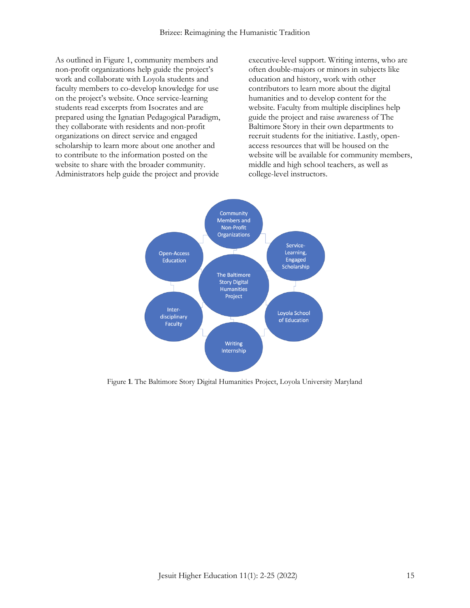As outlined in Figure 1, community members and non-profit organizations help guide the project's work and collaborate with Loyola students and faculty members to co-develop knowledge for use on the project's website. Once service-learning students read excerpts from Isocrates and are prepared using the Ignatian Pedagogical Paradigm, they collaborate with residents and non-profit organizations on direct service and engaged scholarship to learn more about one another and to contribute to the information posted on the website to share with the broader community. Administrators help guide the project and provide

executive-level support. Writing interns, who are often double-majors or minors in subjects like education and history, work with other contributors to learn more about the digital humanities and to develop content for the website. Faculty from multiple disciplines help guide the project and raise awareness of The Baltimore Story in their own departments to recruit students for the initiative. Lastly, openaccess resources that will be housed on the website will be available for community members, middle and high school teachers, as well as college-level instructors.



Figure **1**. The Baltimore Story Digital Humanities Project, Loyola University Maryland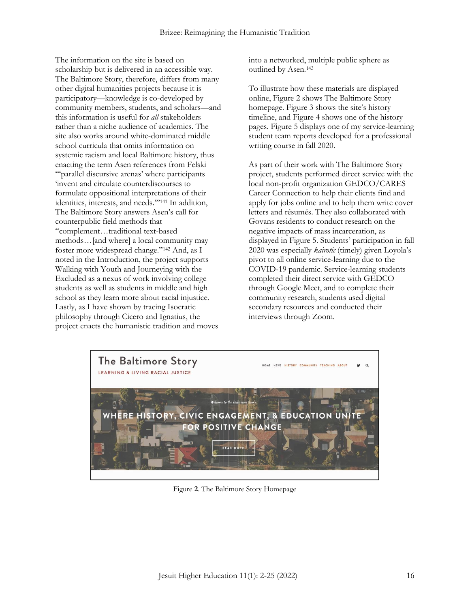The information on the site is based on scholarship but is delivered in an accessible way. The Baltimore Story, therefore, differs from many other digital humanities projects because it is participatory—knowledge is co-developed by community members, students, and scholars—and this information is useful for *all* stakeholders rather than a niche audience of academics. The site also works around white-dominated middle school curricula that omits information on systemic racism and local Baltimore history, thus enacting the term Asen references from Felski "'parallel discursive arenas' where participants 'invent and circulate counterdiscourses to formulate oppositional interpretations of their identities, interests, and needs.'" <sup>141</sup> In addition, The Baltimore Story answers Asen's call for counterpublic field methods that "complement…traditional text-based methods…[and where] a local community may foster more widespread change."<sup>142</sup> And, as I noted in the Introduction, the project supports Walking with Youth and Journeying with the Excluded as a nexus of work involving college students as well as students in middle and high school as they learn more about racial injustice. Lastly, as I have shown by tracing Isocratic philosophy through Cicero and Ignatius, the project enacts the humanistic tradition and moves

into a networked, multiple public sphere as outlined by Asen.<sup>143</sup>

To illustrate how these materials are displayed online, Figure 2 shows The Baltimore Story homepage. Figure 3 shows the site's history timeline, and Figure 4 shows one of the history pages. Figure 5 displays one of my service-learning student team reports developed for a professional writing course in fall 2020.

As part of their work with The Baltimore Story project, students performed direct service with the local non-profit organization GEDCO/CARES Career Connection to help their clients find and apply for jobs online and to help them write cover letters and résumés. They also collaborated with Govans residents to conduct research on the negative impacts of mass incarceration, as displayed in Figure 5. Students' participation in fall 2020 was especially *kairotic* (timely) given Loyola's pivot to all online service-learning due to the COVID-19 pandemic. Service-learning students completed their direct service with GEDCO through Google Meet, and to complete their community research, students used digital secondary resources and conducted their interviews through Zoom.



Figure **2**. The Baltimore Story Homepage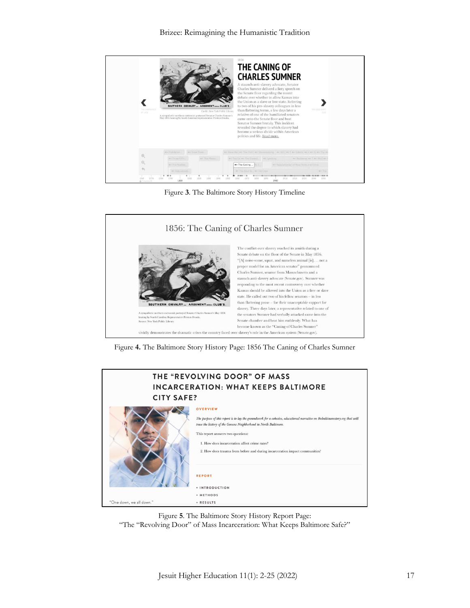

Figure **3**. The Baltimore Story History Timeline



Figure **4.** The Baltimore Story History Page: 1856 The Caning of Charles Sumner



Figure **5**. The Baltimore Story History Report Page:

"The "Revolving Door" of Mass Incarceration: What Keeps Baltimore Safe?"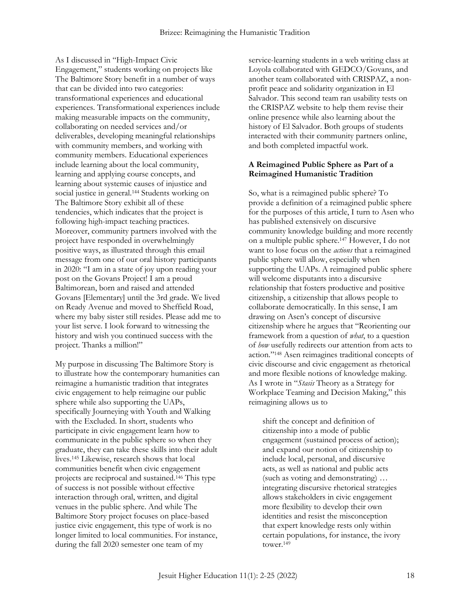As I discussed in "High-Impact Civic Engagement," students working on projects like The Baltimore Story benefit in a number of ways that can be divided into two categories: transformational experiences and educational experiences. Transformational experiences include making measurable impacts on the community, collaborating on needed services and/or deliverables, developing meaningful relationships with community members, and working with community members. Educational experiences include learning about the local community, learning and applying course concepts, and learning about systemic causes of injustice and social justice in general.<sup>144</sup> Students working on The Baltimore Story exhibit all of these tendencies, which indicates that the project is following high-impact teaching practices. Moreover, community partners involved with the project have responded in overwhelmingly positive ways, as illustrated through this email message from one of our oral history participants in 2020: "I am in a state of joy upon reading your post on the Govans Project! I am a proud Baltimorean, born and raised and attended Govans [Elementary] until the 3rd grade. We lived on Ready Avenue and moved to Sheffield Road, where my baby sister still resides. Please add me to your list serve. I look forward to witnessing the history and wish you continued success with the project. Thanks a million!"

My purpose in discussing The Baltimore Story is to illustrate how the contemporary humanities can reimagine a humanistic tradition that integrates civic engagement to help reimagine our public sphere while also supporting the UAPs, specifically Journeying with Youth and Walking with the Excluded. In short, students who participate in civic engagement learn how to communicate in the public sphere so when they graduate, they can take these skills into their adult lives.<sup>145</sup> Likewise, research shows that local communities benefit when civic engagement projects are reciprocal and sustained.<sup>146</sup> This type of success is not possible without effective interaction through oral, written, and digital venues in the public sphere. And while The Baltimore Story project focuses on place-based justice civic engagement, this type of work is no longer limited to local communities. For instance, during the fall 2020 semester one team of my

service-learning students in a web writing class at Loyola collaborated with GEDCO/Govans, and another team collaborated with CRISPAZ, a nonprofit peace and solidarity organization in El Salvador. This second team ran usability tests on the CRISPAZ website to help them revise their online presence while also learning about the history of El Salvador. Both groups of students interacted with their community partners online, and both completed impactful work.

#### **A Reimagined Public Sphere as Part of a Reimagined Humanistic Tradition**

So, what is a reimagined public sphere? To provide a definition of a reimagined public sphere for the purposes of this article, I turn to Asen who has published extensively on discursive community knowledge building and more recently on a multiple public sphere.<sup>147</sup> However, I do not want to lose focus on the *actions* that a reimagined public sphere will allow, especially when supporting the UAPs. A reimagined public sphere will welcome disputants into a discursive relationship that fosters productive and positive citizenship, a citizenship that allows people to collaborate democratically. In this sense, I am drawing on Asen's concept of discursive citizenship where he argues that "Reorienting our framework from a question of *what*, to a question of *how* usefully redirects our attention from acts to action."<sup>148</sup> Asen reimagines traditional concepts of civic discourse and civic engagement as rhetorical and more flexible notions of knowledge making. As I wrote in "*Stasis* Theory as a Strategy for Workplace Teaming and Decision Making," this reimagining allows us to

shift the concept and definition of citizenship into a mode of public engagement (sustained process of action); and expand our notion of citizenship to include local, personal, and discursive acts, as well as national and public acts (such as voting and demonstrating) … integrating discursive rhetorical strategies allows stakeholders in civic engagement more flexibility to develop their own identities and resist the misconception that expert knowledge rests only within certain populations, for instance, the ivory tower.149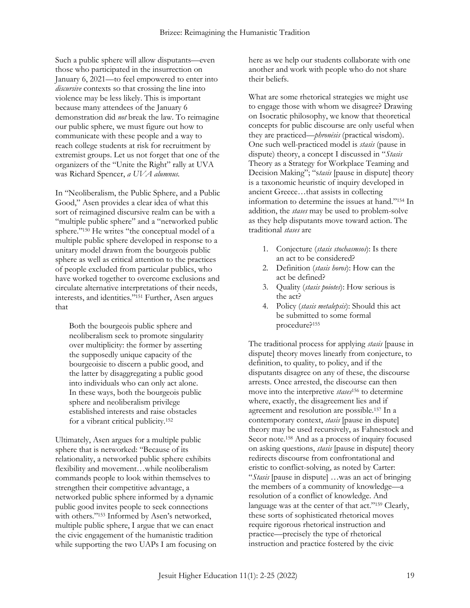Such a public sphere will allow disputants—even those who participated in the insurrection on January 6, 2021—to feel empowered to enter into *discursive* contexts so that crossing the line into violence may be less likely. This is important because many attendees of the January 6 demonstration did *not* break the law. To reimagine our public sphere, we must figure out how to communicate with these people and a way to reach college students at risk for recruitment by extremist groups. Let us not forget that one of the organizers of the "Unite the Right" rally at UVA was Richard Spencer, *a UVA alumnus.*

In "Neoliberalism, the Public Sphere, and a Public Good," Asen provides a clear idea of what this sort of reimagined discursive realm can be with a "multiple public sphere" and a "networked public sphere."<sup>150</sup> He writes "the conceptual model of a multiple public sphere developed in response to a unitary model drawn from the bourgeois public sphere as well as critical attention to the practices of people excluded from particular publics, who have worked together to overcome exclusions and circulate alternative interpretations of their needs, interests, and identities."<sup>151</sup> Further, Asen argues that

Both the bourgeois public sphere and neoliberalism seek to promote singularity over multiplicity: the former by asserting the supposedly unique capacity of the bourgeoisie to discern a public good, and the latter by disaggregating a public good into individuals who can only act alone. In these ways, both the bourgeois public sphere and neoliberalism privilege established interests and raise obstacles for a vibrant critical publicity.<sup>152</sup>

Ultimately, Asen argues for a multiple public sphere that is networked: "Because of its relationality, a networked public sphere exhibits flexibility and movement…while neoliberalism commands people to look within themselves to strengthen their competitive advantage, a networked public sphere informed by a dynamic public good invites people to seek connections with others."<sup>153</sup> Informed by Asen's networked, multiple public sphere, I argue that we can enact the civic engagement of the humanistic tradition while supporting the two UAPs I am focusing on here as we help our students collaborate with one another and work with people who do not share their beliefs.

What are some rhetorical strategies we might use to engage those with whom we disagree? Drawing on Isocratic philosophy, we know that theoretical concepts for public discourse are only useful when they are practiced—*phronēsis* (practical wisdom). One such well-practiced model is *stasis* (pause in dispute) theory, a concept I discussed in "*Stasis* Theory as a Strategy for Workplace Teaming and Decision Making"; "s*tasis* [pause in dispute] theory is a taxonomic heuristic of inquiry developed in ancient Greece…that assists in collecting information to determine the issues at hand."<sup>154</sup> In addition, the *stases* may be used to problem-solve as they help disputants move toward action. The traditional *stases* are

- 1. Conjecture (*stasis stochasmsos*): Is there an act to be considered?
- 2. Definition (*stasis horos*): How can the act be defined?
- 3. Quality (*stasis poiotes*): How serious is the act?
- 4. Policy (*stasis metalepsis*): Should this act be submitted to some formal procedure?<sup>155</sup>

The traditional process for applying *stasis* [pause in dispute] theory moves linearly from conjecture, to definition, to quality, to policy, and if the disputants disagree on any of these, the discourse arrests. Once arrested, the discourse can then move into the interpretive *stases*<sup>156</sup> to determine where, exactly, the disagreement lies and if agreement and resolution are possible.<sup>157</sup> In a contemporary context, *stasis* [pause in dispute] theory may be used recursively, as Fahnestock and Secor note.<sup>158</sup> And as a process of inquiry focused on asking questions, *stasis* [pause in dispute] theory redirects discourse from confrontational and eristic to conflict-solving, as noted by Carter: "*Stasis* [pause in dispute] …was an act of bringing the members of a community of knowledge—a resolution of a conflict of knowledge. And language was at the center of that act."<sup>159</sup> Clearly, these sorts of sophisticated rhetorical moves require rigorous rhetorical instruction and practice—precisely the type of rhetorical instruction and practice fostered by the civic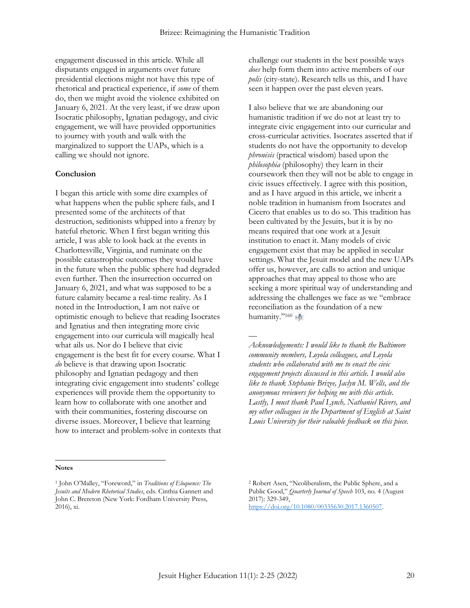engagement discussed in this article. While all disputants engaged in arguments over future presidential elections might not have this type of rhetorical and practical experience, if *some* of them do, then we might avoid the violence exhibited on January 6, 2021. At the very least, if we draw upon Isocratic philosophy, Ignatian pedagogy, and civic engagement, we will have provided opportunities to journey with youth and walk with the marginalized to support the UAPs, which is a calling we should not ignore.

#### **Conclusion**

I began this article with some dire examples of what happens when the public sphere fails, and I presented some of the architects of that destruction, seditionists whipped into a frenzy by hateful rhetoric. When I first began writing this article, I was able to look back at the events in Charlottesville, Virginia, and ruminate on the possible catastrophic outcomes they would have in the future when the public sphere had degraded even further. Then the insurrection occurred on January 6, 2021, and what was supposed to be a future calamity became a real-time reality. As I noted in the Introduction, I am not naïve or optimistic enough to believe that reading Isocrates and Ignatius and then integrating more civic engagement into our curricula will magically heal what ails us. Nor do I believe that civic engagement is the best fit for every course. What I *do* believe is that drawing upon Isocratic philosophy and Ignatian pedagogy and then integrating civic engagement into students' college experiences will provide them the opportunity to learn how to collaborate with one another and with their communities, fostering discourse on diverse issues. Moreover, I believe that learning how to interact and problem-solve in contexts that

**Notes**  $\overline{a}$ 

challenge our students in the best possible ways *does* help form them into active members of our *polis* (city-state). Research tells us this, and I have seen it happen over the past eleven years.

I also believe that we are abandoning our humanistic tradition if we do not at least try to integrate civic engagement into our curricular and cross-curricular activities. Isocrates asserted that if students do not have the opportunity to develop *phronēsis* (practical wisdom) based upon the *philosophia* (philosophy) they learn in their coursework then they will not be able to engage in civic issues effectively. I agree with this position, and as I have argued in this article, we inherit a noble tradition in humanism from Isocrates and Cicero that enables us to do so. This tradition has been cultivated by the Jesuits, but it is by no means required that one work at a Jesuit institution to enact it. Many models of civic engagement exist that may be applied in secular settings. What the Jesuit model and the new UAPs offer us, however, are calls to action and unique approaches that may appeal to those who are seeking a more spiritual way of understanding and addressing the challenges we face as we "embrace reconciliation as the foundation of a new humanity."<sup>160</sup> HE

*Acknowledgements: I would like to thank the Baltimore community members, Loyola colleagues, and Loyola students who collaborated with me to enact the civic engagement projects discussed in this article. I would also like to thank Stephanie Brizee, Jaclyn M. Wells, and the anonymous reviewers for helping me with this article. Lastly, I must thank Paul Lynch, Nathaniel Rivers, and my other colleagues in the Department of English at Saint Louis University for their valuable feedback on this piece.*

—

<sup>1</sup> John O'Malley, "Foreword," in *Traditions of Eloquence: The Jesuits and Modern Rhetorical Studies*, eds. Cinthia Gannett and John C. Brereton (New York: Fordham University Press, 2016), xi.

<sup>2</sup> Robert Asen, "Neoliberalism, the Public Sphere, and a Public Good," *Quarterly Journal of Speech* 103, no. 4 (August 2017): 329-349, [https://doi.org/10.1080/00335630.2017.1360507.](https://doi.org/10.1080/00335630.2017.1360507)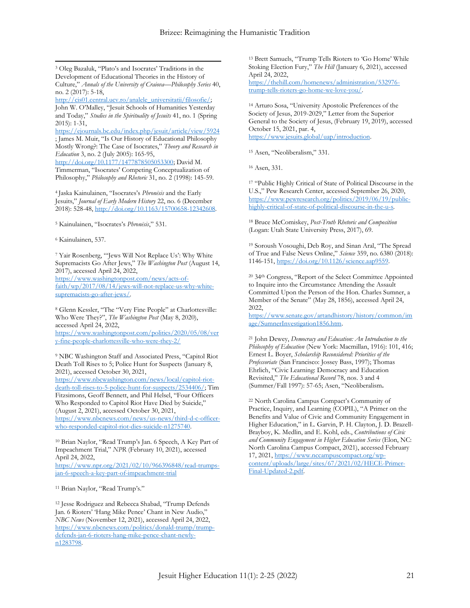$\overline{a}$ <sup>3</sup> Oleg Bazaluk, "Plato's and Isocrates' Traditions in the Development of Educational Theories in the History of Culture," *Annals of the University of Craiova—Philosophy Series* 40, no. 2 (2017): 5-18,

[http://cis01.central.ucv.ro/analele\\_universitatii/filosofie/;](http://cis01.central.ucv.ro/analele_universitatii/filosofie/)  John W. O'Malley, "Jesuit Schools of Humanities Yesterday and Today," *Studies in the Spirituality of Jesuits* 41, no. 1 (Spring 2015): 1-31,

<https://ejournals.bc.edu/index.php/jesuit/article/view/5924> ; James M. Muir, "Is Our History of Educational Philosophy Mostly Wrong?: The Case of Isocrates," *Theory and Research in Education* 3, no. 2 (July 2005): 165-95,

[http://doi.org/10.1177/1477878505053300;](http://doi.org/10.1177/1477878505053300) David M. Timmerman, "Isocrates' Competing Conceptualization of Philosophy," *Philosophy and Rhetoric* 31, no. 2 (1998): 145-59.

<sup>4</sup> Jaska Kainulainen, "Isocrates's *Phronēsis* and the Early Jesuits," *Journal of Early Modern History* 22, no. 6 (December 2018): 528-48, [http://doi.org/10.1163/15700658-12342608.](http://doi.org/10.1163/15700658-12342608)

<sup>5</sup> Kainulainen, "Isocrates's *Phronēsis*," 531.

<sup>6</sup> Kainulainen, 537.

<sup>7</sup> Yair Rosenberg, "'Jews Will Not Replace Us': Why White Supremacists Go After Jews," *The Washington Post* (August 14, 2017), accessed April 24, 2022,

[https://www.washingtonpost.com/news/acts-of](https://www.washingtonpost.com/news/acts-of-faith/wp/2017/08/14/jews-will-not-replace-us-why-white-supremacists-go-after-jews/)[faith/wp/2017/08/14/jews-will-not-replace-us-why-white](https://www.washingtonpost.com/news/acts-of-faith/wp/2017/08/14/jews-will-not-replace-us-why-white-supremacists-go-after-jews/)[supremacists-go-after-jews/.](https://www.washingtonpost.com/news/acts-of-faith/wp/2017/08/14/jews-will-not-replace-us-why-white-supremacists-go-after-jews/)

<sup>8</sup> Glenn Kessler, "The "Very Fine People" at Charlottesville: Who Were They?", *The Washington Post* (May 8, 2020), accessed April 24, 2022, [https://www.washingtonpost.com/politics/2020/05/08/ver](https://www.washingtonpost.com/politics/2020/05/08/very-fine-people-charlottesville-who-were-they-2/)

[y-fine-people-charlottesville-who-were-they-2/](https://www.washingtonpost.com/politics/2020/05/08/very-fine-people-charlottesville-who-were-they-2/)

<sup>9</sup> NBC Washington Staff and Associated Press, "Capitol Riot Death Toll Rises to 5; Police Hunt for Suspects (January 8, 2021), accessed October 30, 2021,

[https://www.nbcwashington.com/news/local/capitol-riot](https://www.nbcwashington.com/news/local/capitol-riot-death-toll-rises-to-5-police-hunt-for-suspects/2534406/)[death-toll-rises-to-5-police-hunt-for-suspects/2534406/;](https://www.nbcwashington.com/news/local/capitol-riot-death-toll-rises-to-5-police-hunt-for-suspects/2534406/) Tim Fitzsimons, Geoff Bennett, and Phil Helsel, "Four Officers Who Responded to Capitol Riot Have Died by Suicide," (August 2, 2021), accessed October 30, 2021, [https://www.nbcnews.com/news/us-news/third-d-c-officer](https://www.nbcnews.com/news/us-news/third-d-c-officer-who-responded-capitol-riot-dies-suicide-n1275740)[who-responded-capitol-riot-dies-suicide-n1275740.](https://www.nbcnews.com/news/us-news/third-d-c-officer-who-responded-capitol-riot-dies-suicide-n1275740) 

<sup>10</sup> Brian Naylor, "Read Trump's Jan. 6 Speech, A Key Part of Impeachment Trial," *NPR* (February 10, 2021), accessed April 24, 2022,

[https://www.npr.org/2021/02/10/966396848/read-trumps](https://www.npr.org/2021/02/10/966396848/read-trumps-jan-6-speech-a-key-part-of-impeachment-trial)[jan-6-speech-a-key-part-of-impeachment-trial](https://www.npr.org/2021/02/10/966396848/read-trumps-jan-6-speech-a-key-part-of-impeachment-trial)

<sup>11</sup> Brian Naylor, "Read Trump's."

<sup>12</sup> Jesse Rodriguez and Rebecca Shabad, "Trump Defends Jan. 6 Rioters' 'Hang Mike Pence' Chant in New Audio," *NBC News* (November 12, 2021), accessed April 24, 2022, [https://www.nbcnews.com/politics/donald-trump/trump](https://www.nbcnews.com/politics/donald-trump/trump-defends-jan-6-rioters-hang-mike-pence-chant-newly-n1283798)[defends-jan-6-rioters-hang-mike-pence-chant-newly](https://www.nbcnews.com/politics/donald-trump/trump-defends-jan-6-rioters-hang-mike-pence-chant-newly-n1283798)[n1283798.](https://www.nbcnews.com/politics/donald-trump/trump-defends-jan-6-rioters-hang-mike-pence-chant-newly-n1283798)

<sup>13</sup> Brett Samuels, "Trump Tells Rioters to 'Go Home' While Stoking Election Fury," *The Hill* (January 6, 2021), accessed April 24, 2022,

[https://thehill.com/homenews/administration/532976](https://thehill.com/homenews/administration/532976-trump-tells-rioters-go-home-we-love-you/) [trump-tells-rioters-go-home-we-love-you/.](https://thehill.com/homenews/administration/532976-trump-tells-rioters-go-home-we-love-you/)

<sup>14</sup> Arturo Sosa, "University Apostolic Preferences of the Society of Jesus, 2019-2029," Letter from the Superior General to the Society of Jesus, (February 19, 2019), accessed October 15, 2021, par. 4, [https://www.jesuits.global/uap/introduction.](https://www.jesuits.global/uap/introduction)

<sup>15</sup> Asen, "Neoliberalism," 331.

<sup>16</sup> Asen, 331.

<sup>17</sup> "Public Highly Critical of State of Political Discourse in the U.S.," Pew Research Center, accessed September 26, 2020, [https://www.pewresearch.org/politics/2019/06/19/public](https://www.pewresearch.org/politics/2019/06/19/public-highly-critical-of-state-of-political-discourse-in-the-u-s)[highly-critical-of-state-of-political-discourse-in-the-u-s.](https://www.pewresearch.org/politics/2019/06/19/public-highly-critical-of-state-of-political-discourse-in-the-u-s) 

<sup>18</sup> Bruce McComiskey, *Post-Truth Rhetoric and Composition* (Logan: Utah State University Press, 2017), 69.

<sup>19</sup> Soroush Vosoughi, Deb Roy, and Sinan Aral, "The Spread of True and False News Online," *Science* 359, no. 6380 (2018): 1146-151[, https://doi.org/10.1126/science.aap9559.](https://doi.org/10.1126/science.aap9559)

<sup>20</sup> 34th Congress, "Report of the Select Committee Appointed to Inquire into the Circumstance Attending the Assault Committed Upon the Person of the Hon. Charles Sumner, a Member of the Senate" (May 28, 1856), accessed April 24, 2022,

[https://www.senate.gov/artandhistory/history/common/im](https://www.senate.gov/artandhistory/history/common/image/SumnerInvestigation1856.htm) [age/SumnerInvestigation1856.htm.](https://www.senate.gov/artandhistory/history/common/image/SumnerInvestigation1856.htm)

<sup>21</sup> John Dewey, *Democracy and Education: An Introduction to the Philosophy of Education* (New York: Macmillan, 1916): 101, 416; Ernest L. Boyer, *Scholarship Reconsidered: Priorities of the Professoriate* (San Francisco: Jossey Bass, 1997); Thomas Ehrlich, "Civic Learning: Democracy and Education Revisited," *The Educational Record* 78, nos. 3 and 4 (Summer/Fall 1997): 57-65; Asen, "Neoliberalism**.**

<sup>22</sup> North Carolina Campus Compact's Community of Practice, Inquiry, and Learning (COPIL), "A Primer on the Benefits and Value of Civic and Community Engagement in Higher Education," in L. Garvin, P. H. Clayton, J. D. Brazell-Brayboy, K. Medlin, and E. Kohl, eds., *Contributions of Civic and Community Engagement in Higher Education Series* (Elon, NC: North Carolina Campus Compact, 2021), accessed February 17, 2021, [https://www.nccampuscompact.org/wp](https://www.nccampuscompact.org/wp-content/uploads/large/sites/67/2021/02/HECE-Primer-Final-Updated-2.pdf)[content/uploads/large/sites/67/2021/02/HECE-Primer-](https://www.nccampuscompact.org/wp-content/uploads/large/sites/67/2021/02/HECE-Primer-Final-Updated-2.pdf)[Final-Updated-2.pdf.](https://www.nccampuscompact.org/wp-content/uploads/large/sites/67/2021/02/HECE-Primer-Final-Updated-2.pdf)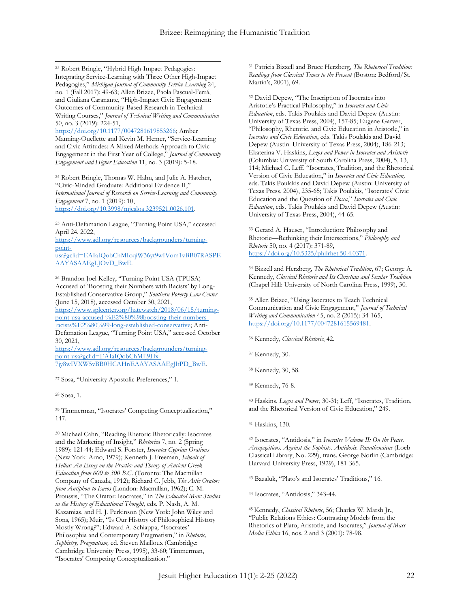$\overline{a}$ <sup>23</sup> Robert Bringle, "Hybrid High-Impact Pedagogies: Integrating Service-Learning with Three Other High-Impact Pedagogies," *Michigan Journal of Community Service Learning* 24, no. 1 (Fall 2017): 49-63; Allen Brizee, Paola Pascual-Ferrá, and Giuliana Caranante, "High-Impact Civic Engagement: Outcomes of Community-Based Research in Technical Writing Courses," *Journal of Technical Writing and Communication* 50, no. 3 (2019): 224-51,

[https://doi.org/10.1177/0047281619853266;](https://doi.org/10.1177%2F0047281619853266) Amber Manning-Ouellette and Kevin M. Hemer, "Service-Learning and Civic Attitudes: A Mixed Methods Approach to Civic Engagement in the First Year of College," *Journal of Community Engagement and Higher Education* 11, no. 3 (2019): 5-18.

<sup>24</sup> Robert Bringle, Thomas W. Hahn, and Julie A. Hatcher, "Civic-Minded Graduate: Additional Evidence II," *International Journal of Research on Service-Learning and Community Engagement* 7, no. 1 (2019): 10, [https://doi.org/10.3998/mjcsloa.3239521.0026.101.](https://doi.org/10.3998/mjcsloa.3239521.0026.101)

<sup>25</sup> Anti-Defamation League, "Turning Point USA," accessed April 24, 2022,

[https://www.adl.org/resources/backgrounders/turning](https://www.adl.org/resources/backgrounders/turning-point-usa?gclid=EAIaIQobChMIoqiW36yt9wIVom1vBB07RASPEAAYASAAEgLJOvD_BwE)[point-](https://www.adl.org/resources/backgrounders/turning-point-usa?gclid=EAIaIQobChMIoqiW36yt9wIVom1vBB07RASPEAAYASAAEgLJOvD_BwE)

[usa?gclid=EAIaIQobChMIoqiW36yt9wIVom1vBB07RASPE](https://www.adl.org/resources/backgrounders/turning-point-usa?gclid=EAIaIQobChMIoqiW36yt9wIVom1vBB07RASPEAAYASAAEgLJOvD_BwE) [AAYASAAEgLJOvD\\_BwE.](https://www.adl.org/resources/backgrounders/turning-point-usa?gclid=EAIaIQobChMIoqiW36yt9wIVom1vBB07RASPEAAYASAAEgLJOvD_BwE)

<sup>26</sup> Brandon Joel Kelley, "Turning Point USA (TPUSA) Accused of 'Boosting their Numbers with Racists' by Long-Established Conservative Group," *Southern Poverty Law Center* (June 15, 2018), accessed October 30, 2021, [https://www.splcenter.org/hatewatch/2018/06/15/turning](https://www.splcenter.org/hatewatch/2018/06/15/turning-point-usa-accused-%E2%80%98boosting-their-numbers-racists%E2%80%99-long-established-conservative)[point-usa-accused-%E2%80%98boosting-their-numbers](https://www.splcenter.org/hatewatch/2018/06/15/turning-point-usa-accused-%E2%80%98boosting-their-numbers-racists%E2%80%99-long-established-conservative)[racists%E2%80%99-long-established-conservative;](https://www.splcenter.org/hatewatch/2018/06/15/turning-point-usa-accused-%E2%80%98boosting-their-numbers-racists%E2%80%99-long-established-conservative) Anti-Defamation League, "Turning Point USA," accessed October 30, 2021,

[https://www.adl.org/resources/backgrounders/turning](https://www.adl.org/resources/backgrounders/turning-point-usa?gclid=EAIaIQobChMIj9Hx-7jy8wIVXW5vBB0HCAHnEAAYASAAEgJltPD_BwE)[point-usa?gclid=EAIaIQobChMIj9Hx-](https://www.adl.org/resources/backgrounders/turning-point-usa?gclid=EAIaIQobChMIj9Hx-7jy8wIVXW5vBB0HCAHnEAAYASAAEgJltPD_BwE)[7jy8wIVXW5vBB0HCAHnEAAYASAAEgJltPD\\_BwE.](https://www.adl.org/resources/backgrounders/turning-point-usa?gclid=EAIaIQobChMIj9Hx-7jy8wIVXW5vBB0HCAHnEAAYASAAEgJltPD_BwE) 

<sup>27</sup> Sosa, "University Apostolic Preferences," 1.

<sup>28</sup> Sosa, 1.

<sup>29</sup> Timmerman, "Isocrates' Competing Conceptualization," 147.

<sup>30</sup> Michael Cahn, "Reading Rhetoric Rhetorically: Isocrates and the Marketing of Insight," *Rhetorica* 7, no. 2 (Spring 1989): 121-44; Edward S. Forster, *Isocrates Cyprian Orations* (New York: Arno, 1979); Kenneth J. Freeman, *Schools of Hellas: An Essay on the Practice and Theory of Ancient Greek Education from 600 to 300 B.C*. (Toronto: The Macmillan Company of Canada, 1912); Richard C. Jebb, *The Attic Orators from Antiphon to Isaeos* (London: Macmillan, 1962); C. M. Proussis, "The Orator: Isocrates," in *The Educated Man: Studies in the History of Educational Thought*, eds. P. Nash, A. M. Kazamias, and H. J. Perkinson (New York: John Wiley and Sons, 1965); Muir, "Is Our History of Philosophical History Mostly Wrong?"; Edward A. Schiappa, "Isocrates' Philosophia and Contemporary Pragmatism," in *Rhetoric, Sophistry, Pragmatism,* ed. Steven Mailloux (Cambridge: Cambridge University Press, 1995), 33-60; Timmerman, "Isocrates' Competing Conceptualization."

<sup>31</sup> Patricia Bizzell and Bruce Herzberg, *The Rhetorical Tradition: Readings from Classical Times to the Present* (Boston: Bedford/St. Martin's, 2001), 69.

<sup>32</sup> David Depew, "The Inscription of Isocrates into Aristotle's Practical Philosophy," in *Isocrates and Civic Education*, eds. Takis Poulakis and David Depew (Austin: University of Texas Press, 2004), 157-85; Eugene Garver, "Philosophy, Rhetoric, and Civic Education in Aristotle," in *Isocrates and Civic Education*, eds. Takis Poulakis and David Depew (Austin: University of Texas Press, 2004), 186-213; Ekaterina V. Haskins, *Logos and Power in Isocrates and Aristotle* (Columbia: University of South Carolina Press, 2004), 5, 13, 114; Michael C. Leff, "Isocrates, Tradition, and the Rhetorical Version of Civic Education," in *Isocrates and Civic Education,* eds. Takis Poulakis and David Depew (Austin: University of Texas Press, 2004), 235-65; Takis Poulakis, "Isocrates' Civic Education and the Question of *Doxa*," *Isocrates and Civic Education*, eds. Takis Poulakis and David Depew (Austin: University of Texas Press, 2004), 44-65.

<sup>33</sup> Gerard A. Hauser, "Introduction: Philosophy and Rhetoric—Rethinking their Intersections," *Philosophy and Rhetoric* 50, no. 4 (2017): 371-89, [https://doi.org/10.5325/philrhet.50.4.0371.](https://doi.org/10.5325/philrhet.50.4.0371)

<sup>34</sup> Bizzell and Herzberg, *The Rhetorical Tradition*, 67; George A. Kennedy, *Classical Rhetoric and Its Christian and Secular Tradition* (Chapel Hill: University of North Carolina Press, 1999), 30.

<sup>35</sup> Allen Brizee, "Using Isocrates to Teach Technical Communication and Civic Engagement," *Journal of Technical Writing and Communication* 45, no. 2 (2015): 34-165, [https://doi.org/10.1177/0047281615569481.](https://doi.org/10.1177%2F0047281615569481)

<sup>36</sup> Kennedy, *Classical Rhetoric*, 42.

- <sup>37</sup> Kennedy, 30.
- <sup>38</sup> Kennedy, 30, 58.
- <sup>39</sup> Kennedy, 76-8.

<sup>40</sup> Haskins, *Logos and Power*, 30-31; Leff, "Isocrates, Tradition, and the Rhetorical Version of Civic Education," 249.

<sup>41</sup> Haskins, 130.

<sup>42</sup> Isocrates, "Antidosis," in *Isocrates Volume II: On the Peace. Areopagiticus. Against the Sophists. Antidosis. Panathenaicus* (Loeb Classical Library, No. 229), trans. George Norlin (Cambridge: Harvard University Press, 1929), 181-365.

<sup>43</sup> Bazaluk, "Plato's and Isocrates' Traditions," 16.

<sup>44</sup> Isocrates, "Antidosis," 343-44.

<sup>45</sup> Kennedy, *Classical Rhetoric*, 56; Charles W. Marsh Jr., "Public Relations Ethics: Contrasting Models from the Rhetorics of Plato, Aristotle, and Isocrates," *Journal of Mass Media Ethics* 16, nos. 2 and 3 (2001): 78-98.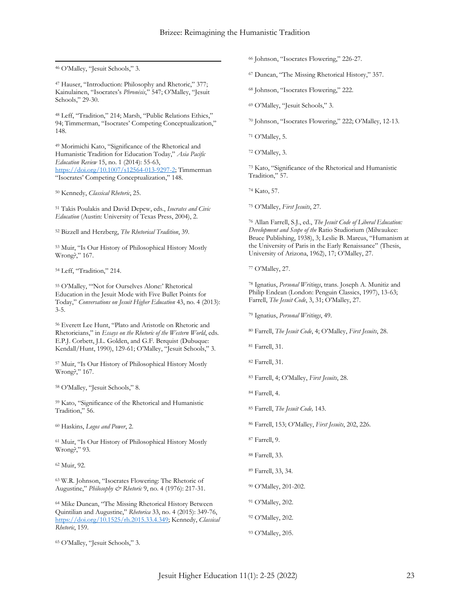$\overline{a}$ <sup>46</sup> O'Malley, "Jesuit Schools," 3.

<sup>47</sup> Hauser, "Introduction: Philosophy and Rhetoric," 377; Kainulainen, "Isocrates's *Phronēsis*," 547; O'Malley, "Jesuit Schools," 29-30.

<sup>48</sup> Leff, "Tradition," 214; Marsh, "Public Relations Ethics," 94; Timmerman, "Isocrates' Competing Conceptualization," 148.

<sup>49</sup> Morimichi Kato, "Significance of the Rhetorical and Humanistic Tradition for Education Today," *Asia Pacific Education Review* 15, no. 1 (2014): 55-63, [https://doi.org/10.1007/s12564-013-9297-2;](https://doi.org/10.1007/s12564-013-9297-2) Timmerman "Isocrates' Competing Conceptualization," 148.

<sup>50</sup> Kennedy, *Classical Rhetoric*, 25.

<sup>51</sup> Takis Poulakis and David Depew, eds., *Isocrates and Civic Education* (Austin: University of Texas Press, 2004), 2.

<sup>52</sup> Bizzell and Herzberg, *The Rhetorical Tradition*, 39.

<sup>53</sup> Muir, "Is Our History of Philosophical History Mostly Wrong?," 167.

<sup>54</sup> Leff, "Tradition," 214.

<sup>55</sup> O'Malley, "'Not for Ourselves Alone:' Rhetorical Education in the Jesuit Mode with Five Bullet Points for Today," *Conversations on Jesuit Higher Education* 43, no. 4 (2013): 3-5.

<sup>56</sup> Everett Lee Hunt, "Plato and Aristotle on Rhetoric and Rhetoricians," in *Essays on the Rhetoric of the Western World*, eds. E.P.J. Corbett, J.L. Golden, and G.F. Berquist (Dubuque: Kendall/Hunt, 1990), 129-61; O'Malley, "Jesuit Schools," 3.

<sup>57</sup> Muir, "Is Our History of Philosophical History Mostly Wrong?," 167.

<sup>58</sup> O'Malley, "Jesuit Schools," 8.

<sup>59</sup> Kato, "Significance of the Rhetorical and Humanistic Tradition," 56.

<sup>60</sup> Haskins, *Logos and Power*, 2.

<sup>61</sup> Muir, "Is Our History of Philosophical History Mostly Wrong?," 93.

<sup>62</sup> Muir, 92.

<sup>63</sup> W.R. Johnson, "Isocrates Flowering: The Rhetoric of Augustine," *Philosophy & Rhetoric* 9, no. 4 (1976): 217-31.

<sup>64</sup> Mike Duncan, "The Missing Rhetorical History Between Quintilian and Augustine," *Rhetorica* 33, no. 4 (2015): 349-76, [https://doi.org/10.1525/rh.2015.33.4.349;](https://doi.org/10.1525/rh.2015.33.4.349) Kennedy, *Classical Rhetoric*, 159.

<sup>65</sup> O'Malley, "Jesuit Schools," 3.

<sup>66</sup> Johnson, "Isocrates Flowering," 226-27.

<sup>67</sup> Duncan, "The Missing Rhetorical History," 357.

<sup>68</sup> Johnson, "Isocrates Flowering," 222.

<sup>69</sup> O'Malley, "Jesuit Schools," 3.

<sup>70</sup> Johnson, "Isocrates Flowering," 222; O'Malley, 12-13.

<sup>71</sup> O'Malley, 5.

<sup>72</sup> O'Malley, 3.

<sup>73</sup> Kato, "Significance of the Rhetorical and Humanistic Tradition," 57.

<sup>74</sup> Kato, 57.

<sup>75</sup> O'Malley, *First Jesuits*, 27.

<sup>76</sup> Allan Farrell, S.J., ed., *The Jesuit Code of Liberal Education: Development and Scope of the* Ratio Studiorium (Milwaukee: Bruce Publishing, 1938), 3; Leslie B. Marcus, "Humanism at the University of Paris in the Early Renaissance" (Thesis, University of Arizona, 1962), 17; O'Malley, 27.

<sup>77</sup> O'Malley, 27.

<sup>78</sup> Ignatius, *Personal Writings*, trans. Joseph A. Munitiz and Philip Endean (London: Penguin Classics, 1997), 13-63; Farrell, *The Jesuit Code*, 3, 31; O'Malley, 27.

<sup>79</sup> Ignatius, *Personal Writings*, 49.

<sup>80</sup> Farrell, *The Jesuit Code*, 4; O'Malley, *First Jesuits*, 28.

<sup>81</sup> Farrell, 31.

<sup>82</sup> Farrell, 31.

<sup>83</sup> Farrell, 4; O'Malley, *First Jesuits*, 28.

<sup>84</sup> Farrell, 4.

<sup>85</sup> Farrell, *The Jesuit Code,* 143.

<sup>86</sup> Farrell, 153; O'Malley, *First Jesuits*, 202, 226.

<sup>87</sup> Farrell, 9.

<sup>88</sup> Farrell, 33.

<sup>89</sup> Farrell, 33, 34.

<sup>90</sup> O'Malley, 201-202.

<sup>91</sup> O'Malley, 202.

<sup>92</sup> O'Malley, 202.

<sup>93</sup> O'Malley, 205.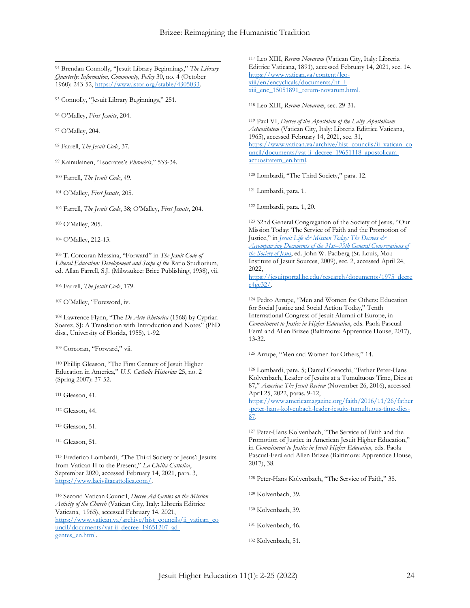$\overline{a}$ <sup>94</sup> Brendan Connolly, "Jesuit Library Beginnings," *The Library Quarterly: Information, Community, Policy* 30, no. 4 (October 1960): 243-52, [https://www.jstor.org/stable/4305033.](https://www.jstor.org/stable/4305033)

<sup>95</sup> Connolly, "Jesuit Library Beginnings," 251.

<sup>96</sup> O'Malley, *First Jesuits*, 204.

<sup>97</sup> O'Malley, 204.

<sup>98</sup> Farrell, *The Jesuit Code*, 37.

<sup>99</sup> Kainulainen, "Isocrates's *Phronēsis*," 533-34.

<sup>100</sup> Farrell, *The Jesuit Code*, 49.

<sup>101</sup> O'Malley, *First Jesuits*, 205.

<sup>102</sup> Farrell, *The Jesuit Code*, 38; O'Malley, *First Jesuits*, 204.

<sup>103</sup> O'Malley, 205.

<sup>104</sup> O'Malley, 212-13.

<sup>105</sup> T. Corcoran Messina, "Forward" in *The Jesuit Code of Liberal Education: Development and Scope of the* Ratio Studiorium, ed. Allan Farrell, S.J. (Milwaukee: Brice Publishing, 1938), vii.

<sup>106</sup> Farrell, *The Jesuit Code*, 179.

<sup>107</sup> O'Malley, "Foreword, iv.

<sup>108</sup> Lawrence Flynn, "The *De Arte Rhetorica* (1568) by Cyprian Soarez, SJ: A Translation with Introduction and Notes" (PhD diss., University of Florida, 1955), 1-92.

<sup>109</sup> Corcoran, "Forward," vii.

<sup>110</sup> Phillip Gleason, "The First Century of Jesuit Higher Education in America," *U.S. Catholic Historian* 25, no. 2 (Spring 2007): 37-52.

<sup>111</sup> Gleason, 41.

<sup>112</sup> Gleason, 44.

<sup>113</sup> Gleason, 51.

<sup>114</sup> Gleason, 51.

<sup>115</sup> Frederico Lombardi, "The Third Society of Jesus': Jesuits from Vatican II to the Present," *La Civilta Cattolica*, September 2020, accessed February 14, 2021, para. 3, [https://www.laciviltacattolica.com/.](https://www.laciviltacattolica.com/)

<sup>116</sup> Second Vatican Council, *Decree Ad Gentes on the Mission Activity of the Church* (Vatican City, Italy: Libreria Editrice Vaticana, 1965), accessed February 14, 2021, [https://www.vatican.va/archive/hist\\_councils/ii\\_vatican\\_co](https://www.vatican.va/archive/hist_councils/ii_vatican_council/documents/vat-ii_decree_19651207_ad-gentes_en.html) [uncil/documents/vat-ii\\_decree\\_19651207\\_ad](https://www.vatican.va/archive/hist_councils/ii_vatican_council/documents/vat-ii_decree_19651207_ad-gentes_en.html)[gentes\\_en.html.](https://www.vatican.va/archive/hist_councils/ii_vatican_council/documents/vat-ii_decree_19651207_ad-gentes_en.html) 

<sup>117</sup> Leo XIII, *Rerum Novarum* (Vatican City, Italy: Libreria Editrice Vaticana, 1891), accessed February 14, 2021, sec. 14, [https://www.vatican.va/content/leo](https://www.vatican.va/content/leo-xiii/en/encyclicals/documents/hf_l-xiii_enc_15051891_rerum-novarum.html)[xiii/en/encyclicals/documents/hf\\_l](https://www.vatican.va/content/leo-xiii/en/encyclicals/documents/hf_l-xiii_enc_15051891_rerum-novarum.html)[xiii\\_enc\\_15051891\\_rerum-novarum.html.](https://www.vatican.va/content/leo-xiii/en/encyclicals/documents/hf_l-xiii_enc_15051891_rerum-novarum.html)

<sup>118</sup> Leo XIII, *Rerum Novarum*, sec. 29-31**.**

<sup>119</sup> Paul VI, *Decree of the Apostolate of the Laity Apostolicam Actuositatem* (Vatican City, Italy: Libreria Editrice Vaticana, 1965), accessed February 14, 2021, sec. 31, [https://www.vatican.va/archive/hist\\_councils/ii\\_vatican\\_co](https://www.vatican.va/archive/hist_councils/ii_vatican_council/documents/vat-ii_decree_19651118_apostolicam-actuositatem_en.html) [uncil/documents/vat-ii\\_decree\\_19651118\\_apostolicam](https://www.vatican.va/archive/hist_councils/ii_vatican_council/documents/vat-ii_decree_19651118_apostolicam-actuositatem_en.html)[actuositatem\\_en.html.](https://www.vatican.va/archive/hist_councils/ii_vatican_council/documents/vat-ii_decree_19651118_apostolicam-actuositatem_en.html) 

<sup>120</sup> Lombardi, "The Third Society," para. 12.

<sup>121</sup> Lombardi, para. 1.

<sup>122</sup> Lombardi, para. 1, 20.

<sup>123</sup> 32nd General Congregation of the Society of Jesus*,* "Our Mission Today: The Service of Faith and the Promotion of Justice," in *[Jesuit Life & Mission Today: The Decrees &](http://jesuitsources.bc.edu/jesuit-life-mission-today-the-decrees-and-accompanying-documents-of-the-31st-35th-general-congregations-of-the-society-of-jesus-paperback/)  [Accompanying Documents of the 31st](http://jesuitsources.bc.edu/jesuit-life-mission-today-the-decrees-and-accompanying-documents-of-the-31st-35th-general-congregations-of-the-society-of-jesus-paperback/)–35th General Congregations of [the Society of Jesus](http://jesuitsources.bc.edu/jesuit-life-mission-today-the-decrees-and-accompanying-documents-of-the-31st-35th-general-congregations-of-the-society-of-jesus-paperback/)*, ed. John W. Padberg (St. Louis, Mo.: Institute of Jesuit Sources, 2009), sec. 2, accessed April 24, 2022, [https://jesuitportal.bc.edu/research/documents/1975\\_decre](https://jesuitportal.bc.edu/research/documents/1975_decree4gc32/)

 $e4\overline{ec}32/$ .

<sup>124</sup> Pedro Arrupe, "Men and Women for Others: Education for Social Justice and Social Action Today," Tenth International Congress of Jesuit Alumni of Europe, in *Commitment to Justice in Higher Education*, eds. Paola Pascual-Ferrá and Allen Brizee (Baltimore: Apprentice House, 2017), 13-32.

<sup>125</sup> Arrupe, "Men and Women for Others," 14.

<sup>126</sup> Lombardi, para. 5; Daniel Cosacchi, "Father Peter-Hans Kolvenbach, Leader of Jesuits at a Tumultuous Time, Dies at 87," *America: The Jesuit Review* (November 26, 2016), accessed April 25, 2022, paras. 9-12,

[https://www.americamagazine.org/faith/2016/11/26/father](https://www.americamagazine.org/faith/2016/11/26/father-peter-hans-kolvenbach-leader-jesuits-tumultuous-time-dies-87) [-peter-hans-kolvenbach-leader-jesuits-tumultuous-time-dies-](https://www.americamagazine.org/faith/2016/11/26/father-peter-hans-kolvenbach-leader-jesuits-tumultuous-time-dies-87)[87.](https://www.americamagazine.org/faith/2016/11/26/father-peter-hans-kolvenbach-leader-jesuits-tumultuous-time-dies-87)

<sup>127</sup> Peter-Hans Kolvenbach, "The Service of Faith and the Promotion of Justice in American Jesuit Higher Education," in *Commitment to Justice in Jesuit Higher Education,* eds. Paola Pascual-Ferá and Allen Brizee (Baltimore: Apprentice House, 2017), 38.

<sup>128</sup> Peter-Hans Kolvenbach, "The Service of Faith," 38.

<sup>129</sup> Kolvenbach, 39.

<sup>130</sup> Kolvenbach, 39.

<sup>131</sup> Kolvenbach, 46.

<sup>132</sup> Kolvenbach, 51.